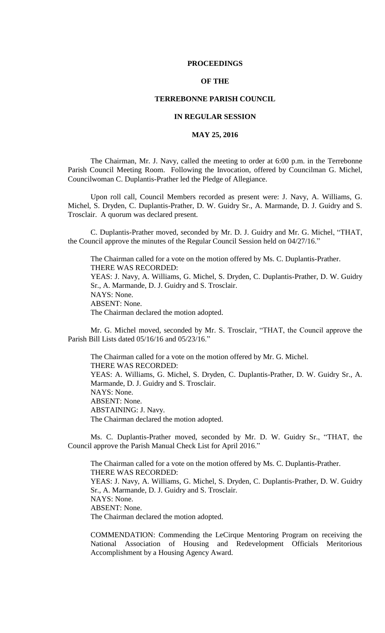### **PROCEEDINGS**

# **OF THE**

## **TERREBONNE PARISH COUNCIL**

# **IN REGULAR SESSION**

# **MAY 25, 2016**

The Chairman, Mr. J. Navy, called the meeting to order at 6:00 p.m. in the Terrebonne Parish Council Meeting Room. Following the Invocation, offered by Councilman G. Michel, Councilwoman C. Duplantis-Prather led the Pledge of Allegiance.

Upon roll call, Council Members recorded as present were: J. Navy, A. Williams, G. Michel, S. Dryden, C. Duplantis-Prather, D. W. Guidry Sr., A. Marmande, D. J. Guidry and S. Trosclair. A quorum was declared present.

C. Duplantis-Prather moved, seconded by Mr. D. J. Guidry and Mr. G. Michel, "THAT, the Council approve the minutes of the Regular Council Session held on 04/27/16."

The Chairman called for a vote on the motion offered by Ms. C. Duplantis-Prather. THERE WAS RECORDED: YEAS: J. Navy, A. Williams, G. Michel, S. Dryden, C. Duplantis-Prather, D. W. Guidry Sr., A. Marmande, D. J. Guidry and S. Trosclair. NAYS: None. ABSENT: None. The Chairman declared the motion adopted.

Mr. G. Michel moved, seconded by Mr. S. Trosclair, "THAT, the Council approve the Parish Bill Lists dated 05/16/16 and 05/23/16."

The Chairman called for a vote on the motion offered by Mr. G. Michel. THERE WAS RECORDED: YEAS: A. Williams, G. Michel, S. Dryden, C. Duplantis-Prather, D. W. Guidry Sr., A. Marmande, D. J. Guidry and S. Trosclair. NAYS: None. ABSENT: None. ABSTAINING: J. Navy. The Chairman declared the motion adopted.

Ms. C. Duplantis-Prather moved, seconded by Mr. D. W. Guidry Sr., "THAT, the Council approve the Parish Manual Check List for April 2016."

The Chairman called for a vote on the motion offered by Ms. C. Duplantis-Prather. THERE WAS RECORDED: YEAS: J. Navy, A. Williams, G. Michel, S. Dryden, C. Duplantis-Prather, D. W. Guidry Sr., A. Marmande, D. J. Guidry and S. Trosclair. NAYS: None. ABSENT: None. The Chairman declared the motion adopted.

COMMENDATION: Commending the LeCirque Mentoring Program on receiving the National Association of Housing and Redevelopment Officials Meritorious Accomplishment by a Housing Agency Award.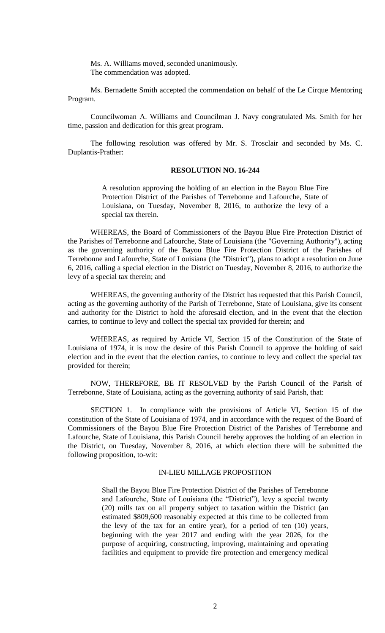Ms. A. Williams moved, seconded unanimously. The commendation was adopted.

Ms. Bernadette Smith accepted the commendation on behalf of the Le Cirque Mentoring Program.

Councilwoman A. Williams and Councilman J. Navy congratulated Ms. Smith for her time, passion and dedication for this great program.

The following resolution was offered by Mr. S. Trosclair and seconded by Ms. C. Duplantis-Prather:

# **RESOLUTION NO. 16-244**

A resolution approving the holding of an election in the Bayou Blue Fire Protection District of the Parishes of Terrebonne and Lafourche, State of Louisiana, on Tuesday, November 8, 2016, to authorize the levy of a special tax therein.

WHEREAS, the Board of Commissioners of the Bayou Blue Fire Protection District of the Parishes of Terrebonne and Lafourche, State of Louisiana (the "Governing Authority"), acting as the governing authority of the Bayou Blue Fire Protection District of the Parishes of Terrebonne and Lafourche, State of Louisiana (the "District"), plans to adopt a resolution on June 6, 2016, calling a special election in the District on Tuesday, November 8, 2016, to authorize the levy of a special tax therein; and

WHEREAS, the governing authority of the District has requested that this Parish Council, acting as the governing authority of the Parish of Terrebonne, State of Louisiana, give its consent and authority for the District to hold the aforesaid election, and in the event that the election carries, to continue to levy and collect the special tax provided for therein; and

WHEREAS, as required by Article VI, Section 15 of the Constitution of the State of Louisiana of 1974, it is now the desire of this Parish Council to approve the holding of said election and in the event that the election carries, to continue to levy and collect the special tax provided for therein;

NOW, THEREFORE, BE IT RESOLVED by the Parish Council of the Parish of Terrebonne, State of Louisiana, acting as the governing authority of said Parish, that:

SECTION 1. In compliance with the provisions of Article VI, Section 15 of the constitution of the State of Louisiana of 1974, and in accordance with the request of the Board of Commissioners of the Bayou Blue Fire Protection District of the Parishes of Terrebonne and Lafourche, State of Louisiana, this Parish Council hereby approves the holding of an election in the District, on Tuesday, November 8, 2016, at which election there will be submitted the following proposition, to-wit:

## IN-LIEU MILLAGE PROPOSITION

Shall the Bayou Blue Fire Protection District of the Parishes of Terrebonne and Lafourche, State of Louisiana (the "District"), levy a special twenty (20) mills tax on all property subject to taxation within the District (an estimated \$809,600 reasonably expected at this time to be collected from the levy of the tax for an entire year), for a period of ten (10) years, beginning with the year 2017 and ending with the year 2026, for the purpose of acquiring, constructing, improving, maintaining and operating facilities and equipment to provide fire protection and emergency medical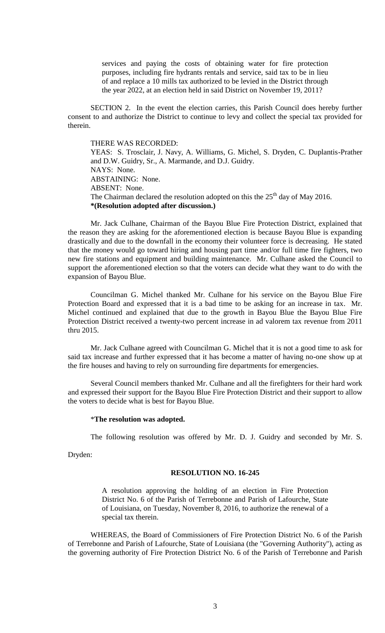services and paying the costs of obtaining water for fire protection purposes, including fire hydrants rentals and service, said tax to be in lieu of and replace a 10 mills tax authorized to be levied in the District through the year 2022, at an election held in said District on November 19, 2011?

SECTION 2. In the event the election carries, this Parish Council does hereby further consent to and authorize the District to continue to levy and collect the special tax provided for therein.

# THERE WAS RECORDED:

YEAS: S. Trosclair, J. Navy, A. Williams, G. Michel, S. Dryden, C. Duplantis-Prather and D.W. Guidry, Sr., A. Marmande, and D.J. Guidry. NAYS: None. ABSTAINING: None. ABSENT: None. The Chairman declared the resolution adopted on this the  $25<sup>th</sup>$  day of May 2016. **\*(Resolution adopted after discussion.)**

Mr. Jack Culhane, Chairman of the Bayou Blue Fire Protection District, explained that the reason they are asking for the aforementioned election is because Bayou Blue is expanding drastically and due to the downfall in the economy their volunteer force is decreasing. He stated that the money would go toward hiring and housing part time and/or full time fire fighters, two new fire stations and equipment and building maintenance. Mr. Culhane asked the Council to support the aforementioned election so that the voters can decide what they want to do with the expansion of Bayou Blue.

Councilman G. Michel thanked Mr. Culhane for his service on the Bayou Blue Fire Protection Board and expressed that it is a bad time to be asking for an increase in tax. Mr. Michel continued and explained that due to the growth in Bayou Blue the Bayou Blue Fire Protection District received a twenty-two percent increase in ad valorem tax revenue from 2011 thru 2015.

Mr. Jack Culhane agreed with Councilman G. Michel that it is not a good time to ask for said tax increase and further expressed that it has become a matter of having no-one show up at the fire houses and having to rely on surrounding fire departments for emergencies.

Several Council members thanked Mr. Culhane and all the firefighters for their hard work and expressed their support for the Bayou Blue Fire Protection District and their support to allow the voters to decide what is best for Bayou Blue.

#### \***The resolution was adopted.**

The following resolution was offered by Mr. D. J. Guidry and seconded by Mr. S.

Dryden:

### **RESOLUTION NO. 16-245**

A resolution approving the holding of an election in Fire Protection District No. 6 of the Parish of Terrebonne and Parish of Lafourche, State of Louisiana, on Tuesday, November 8, 2016, to authorize the renewal of a special tax therein.

WHEREAS, the Board of Commissioners of Fire Protection District No. 6 of the Parish of Terrebonne and Parish of Lafourche, State of Louisiana (the "Governing Authority"), acting as the governing authority of Fire Protection District No. 6 of the Parish of Terrebonne and Parish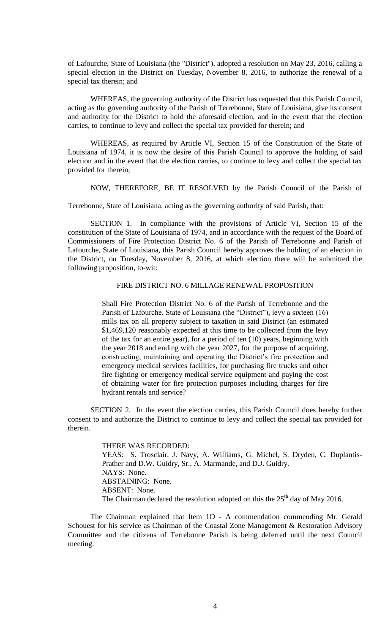of Lafourche, State of Louisiana (the "District"), adopted a resolution on May 23, 2016, calling a special election in the District on Tuesday, November 8, 2016, to authorize the renewal of a special tax therein; and

WHEREAS, the governing authority of the District has requested that this Parish Council, acting as the governing authority of the Parish of Terrebonne, State of Louisiana, give its consent and authority for the District to hold the aforesaid election, and in the event that the election carries, to continue to levy and collect the special tax provided for therein; and

WHEREAS, as required by Article VI, Section 15 of the Constitution of the State of Louisiana of 1974, it is now the desire of this Parish Council to approve the holding of said election and in the event that the election carries, to continue to levy and collect the special tax provided for therein;

NOW, THEREFORE, BE IT RESOLVED by the Parish Council of the Parish of

Terrebonne, State of Louisiana, acting as the governing authority of said Parish, that:

SECTION 1. In compliance with the provisions of Article VI, Section 15 of the constitution of the State of Louisiana of 1974, and in accordance with the request of the Board of Commissioners of Fire Protection District No. 6 of the Parish of Terrebonne and Parish of Lafourche, State of Louisiana, this Parish Council hereby approves the holding of an election in the District, on Tuesday, November 8, 2016, at which election there will be submitted the following proposition, to-wit:

# FIRE DISTRICT NO. 6 MILLAGE RENEWAL PROPOSITION

Shall Fire Protection District No. 6 of the Parish of Terrebonne and the Parish of Lafourche, State of Louisiana (the "District"), levy a sixteen (16) mills tax on all property subject to taxation in said District (an estimated \$1,469,120 reasonably expected at this time to be collected from the levy of the tax for an entire year), for a period of ten (10) years, beginning with the year 2018 and ending with the year 2027, for the purpose of acquiring, constructing, maintaining and operating the District's fire protection and emergency medical services facilities, for purchasing fire trucks and other fire fighting or emergency medical service equipment and paying the cost of obtaining water for fire protection purposes including charges for fire hydrant rentals and service?

SECTION 2. In the event the election carries, this Parish Council does hereby further consent to and authorize the District to continue to levy and collect the special tax provided for therein.

> THERE WAS RECORDED: YEAS: S. Trosclair, J. Navy, A. Williams, G. Michel, S. Dryden, C. Duplantis-Prather and D.W. Guidry, Sr., A. Marmande, and D.J. Guidry. NAYS: None. ABSTAINING: None. ABSENT: None. The Chairman declared the resolution adopted on this the  $25<sup>th</sup>$  day of May 2016.

The Chairman explained that Item 1D - A commendation commending Mr. Gerald Schouest for his service as Chairman of the Coastal Zone Management & Restoration Advisory Committee and the citizens of Terrebonne Parish is being deferred until the next Council meeting.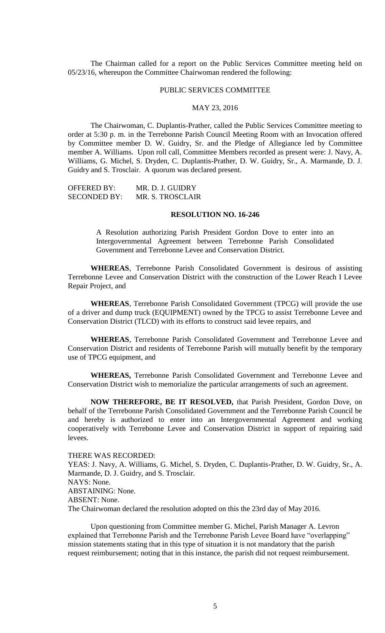The Chairman called for a report on the Public Services Committee meeting held on 05/23/16, whereupon the Committee Chairwoman rendered the following:

#### PUBLIC SERVICES COMMITTEE

## MAY 23, 2016

The Chairwoman, C. Duplantis-Prather, called the Public Services Committee meeting to order at 5:30 p. m. in the Terrebonne Parish Council Meeting Room with an Invocation offered by Committee member D. W. Guidry, Sr. and the Pledge of Allegiance led by Committee member A. Williams. Upon roll call, Committee Members recorded as present were: J. Navy, A. Williams, G. Michel, S. Dryden, C. Duplantis-Prather, D. W. Guidry, Sr., A. Marmande, D. J. Guidry and S. Trosclair. A quorum was declared present.

| OFFERED BY:         | MR. D. J. GUIDRY |
|---------------------|------------------|
| <b>SECONDED BY:</b> | MR. S. TROSCLAIR |

#### **RESOLUTION NO. 16-246**

A Resolution authorizing Parish President Gordon Dove to enter into an Intergovernmental Agreement between Terrebonne Parish Consolidated Government and Terrebonne Levee and Conservation District.

**WHEREAS**, Terrebonne Parish Consolidated Government is desirous of assisting Terrebonne Levee and Conservation District with the construction of the Lower Reach I Levee Repair Project, and

**WHEREAS**, Terrebonne Parish Consolidated Government (TPCG) will provide the use of a driver and dump truck (EQUIPMENT) owned by the TPCG to assist Terrebonne Levee and Conservation District (TLCD) with its efforts to construct said levee repairs, and

**WHEREAS**, Terrebonne Parish Consolidated Government and Terrebonne Levee and Conservation District and residents of Terrebonne Parish will mutually benefit by the temporary use of TPCG equipment, and

**WHEREAS,** Terrebonne Parish Consolidated Government and Terrebonne Levee and Conservation District wish to memorialize the particular arrangements of such an agreement.

**NOW THEREFORE, BE IT RESOLVED,** that Parish President, Gordon Dove, on behalf of the Terrebonne Parish Consolidated Government and the Terrebonne Parish Council be and hereby is authorized to enter into an Intergovernmental Agreement and working cooperatively with Terrebonne Levee and Conservation District in support of repairing said levees.

## THERE WAS RECORDED:

YEAS: J. Navy, A. Williams, G. Michel, S. Dryden, C. Duplantis-Prather, D. W. Guidry, Sr., A. Marmande, D. J. Guidry, and S. Trosclair. NAYS: None. ABSTAINING: None. ABSENT: None. The Chairwoman declared the resolution adopted on this the 23rd day of May 2016.

Upon questioning from Committee member G. Michel, Parish Manager A. Levron explained that Terrebonne Parish and the Terrebonne Parish Levee Board have "overlapping" mission statements stating that in this type of situation it is not mandatory that the parish request reimbursement; noting that in this instance, the parish did not request reimbursement.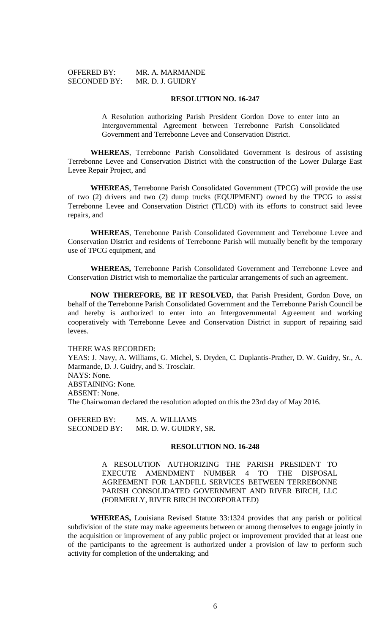| <b>OFFERED BY:</b>  | MR. A. MARMANDE  |
|---------------------|------------------|
| <b>SECONDED BY:</b> | MR. D. J. GUIDRY |

#### **RESOLUTION NO. 16-247**

A Resolution authorizing Parish President Gordon Dove to enter into an Intergovernmental Agreement between Terrebonne Parish Consolidated Government and Terrebonne Levee and Conservation District.

**WHEREAS**, Terrebonne Parish Consolidated Government is desirous of assisting Terrebonne Levee and Conservation District with the construction of the Lower Dularge East Levee Repair Project, and

**WHEREAS**, Terrebonne Parish Consolidated Government (TPCG) will provide the use of two (2) drivers and two (2) dump trucks (EQUIPMENT) owned by the TPCG to assist Terrebonne Levee and Conservation District (TLCD) with its efforts to construct said levee repairs, and

**WHEREAS**, Terrebonne Parish Consolidated Government and Terrebonne Levee and Conservation District and residents of Terrebonne Parish will mutually benefit by the temporary use of TPCG equipment, and

**WHEREAS,** Terrebonne Parish Consolidated Government and Terrebonne Levee and Conservation District wish to memorialize the particular arrangements of such an agreement.

**NOW THEREFORE, BE IT RESOLVED,** that Parish President, Gordon Dove, on behalf of the Terrebonne Parish Consolidated Government and the Terrebonne Parish Council be and hereby is authorized to enter into an Intergovernmental Agreement and working cooperatively with Terrebonne Levee and Conservation District in support of repairing said levees.

#### THERE WAS RECORDED:

YEAS: J. Navy, A. Williams, G. Michel, S. Dryden, C. Duplantis-Prather, D. W. Guidry, Sr., A. Marmande, D. J. Guidry, and S. Trosclair. NAYS: None. ABSTAINING: None.

ABSENT: None.

The Chairwoman declared the resolution adopted on this the 23rd day of May 2016.

| <b>OFFERED BY:</b>  | MS. A. WILLIAMS       |
|---------------------|-----------------------|
| <b>SECONDED BY:</b> | MR. D. W. GUIDRY, SR. |

#### **RESOLUTION NO. 16-248**

A RESOLUTION AUTHORIZING THE PARISH PRESIDENT TO EXECUTE AMENDMENT NUMBER 4 TO THE DISPOSAL AGREEMENT FOR LANDFILL SERVICES BETWEEN TERREBONNE PARISH CONSOLIDATED GOVERNMENT AND RIVER BIRCH, LLC (FORMERLY, RIVER BIRCH INCORPORATED)

**WHEREAS,** Louisiana Revised Statute 33:1324 provides that any parish or political subdivision of the state may make agreements between or among themselves to engage jointly in the acquisition or improvement of any public project or improvement provided that at least one of the participants to the agreement is authorized under a provision of law to perform such activity for completion of the undertaking; and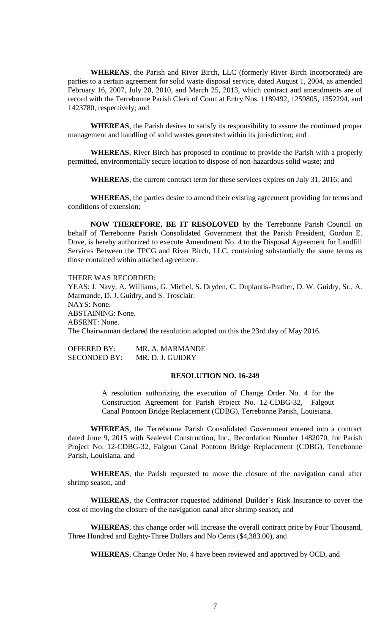**WHEREAS**, the Parish and River Birch, LLC (formerly River Birch Incorporated) are parties to a certain agreement for solid waste disposal service, dated August 1, 2004, as amended February 16, 2007, July 20, 2010, and March 25, 2013, which contract and amendments are of record with the Terrebonne Parish Clerk of Court at Entry Nos. 1189492, 1259805, 1352294, and 1423780, respectively; and

**WHEREAS**, the Parish desires to satisfy its responsibility to assure the continued proper management and handling of solid wastes generated within its jurisdiction; and

**WHEREAS**, River Birch has proposed to continue to provide the Parish with a properly permitted, environmentally secure location to dispose of non-hazardous solid waste; and

**WHEREAS**, the current contract term for these services expires on July 31, 2016; and

**WHEREAS**, the parties desire to amend their existing agreement providing for terms and conditions of extension;

**NOW THEREFORE, BE IT RESOLOVED** by the Terrebonne Parish Council on behalf of Terrebonne Parish Consolidated Government that the Parish President, Gordon E. Dove, is hereby authorized to execute Amendment No. 4 to the Disposal Agreement for Landfill Services Between the TPCG and River Birch, LLC, containing substantially the same terms as those contained within attached agreement.

THERE WAS RECORDED:

YEAS: J. Navy, A. Williams, G. Michel, S. Dryden, C. Duplantis-Prather, D. W. Guidry, Sr., A. Marmande, D. J. Guidry, and S. Trosclair. NAYS: None. ABSTAINING: None. ABSENT: None. The Chairwoman declared the resolution adopted on this the 23rd day of May 2016.

OFFERED BY: MR. A. MARMANDE SECONDED BY: MR. D. J. GUIDRY

## **RESOLUTION NO. 16-249**

A resolution authorizing the execution of Change Order No. 4 for the Construction Agreement for Parish Project No. 12-CDBG-32, Falgout Canal Pontoon Bridge Replacement (CDBG), Terrebonne Parish, Louisiana.

**WHEREAS**, the Terrebonne Parish Consolidated Government entered into a contract dated June 9, 2015 with Sealevel Construction, Inc., Recordation Number 1482070, for Parish Project No. 12-CDBG-32, Falgout Canal Pontoon Bridge Replacement (CDBG), Terrebonne Parish, Louisiana, and

**WHEREAS**, the Parish requested to move the closure of the navigation canal after shrimp season, and

**WHEREAS**, the Contractor requested additional Builder's Risk Insurance to cover the cost of moving the closure of the navigation canal after shrimp season, and

**WHEREAS**, this change order will increase the overall contract price by Four Thousand, Three Hundred and Eighty-Three Dollars and No Cents (\$4,383.00), and

**WHEREAS**, Change Order No. 4 have been reviewed and approved by OCD, and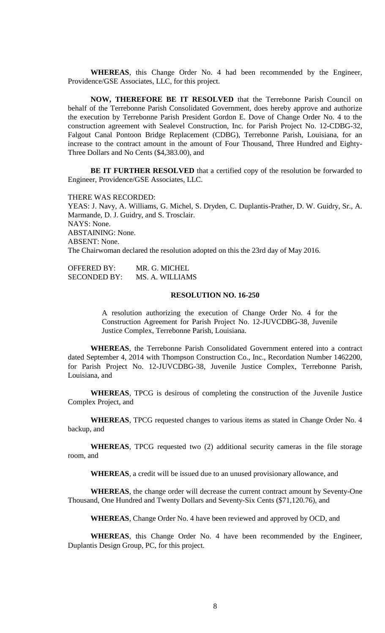**WHEREAS**, this Change Order No. 4 had been recommended by the Engineer, Providence/GSE Associates, LLC, for this project.

**NOW, THEREFORE BE IT RESOLVED** that the Terrebonne Parish Council on behalf of the Terrebonne Parish Consolidated Government, does hereby approve and authorize the execution by Terrebonne Parish President Gordon E. Dove of Change Order No. 4 to the construction agreement with Sealevel Construction, Inc. for Parish Project No. 12-CDBG-32, Falgout Canal Pontoon Bridge Replacement (CDBG), Terrebonne Parish, Louisiana, for an increase to the contract amount in the amount of Four Thousand, Three Hundred and Eighty-Three Dollars and No Cents (\$4,383.00), and

**BE IT FURTHER RESOLVED** that a certified copy of the resolution be forwarded to Engineer, Providence/GSE Associates, LLC.

THERE WAS RECORDED:

YEAS: J. Navy, A. Williams, G. Michel, S. Dryden, C. Duplantis-Prather, D. W. Guidry, Sr., A. Marmande, D. J. Guidry, and S. Trosclair. NAYS: None. ABSTAINING: None. ABSENT: None. The Chairwoman declared the resolution adopted on this the 23rd day of May 2016.

| <b>OFFERED BY:</b>  | MR. G. MICHEL   |
|---------------------|-----------------|
| <b>SECONDED BY:</b> | MS. A. WILLIAMS |

## **RESOLUTION NO. 16-250**

A resolution authorizing the execution of Change Order No. 4 for the Construction Agreement for Parish Project No. 12-JUVCDBG-38, Juvenile Justice Complex, Terrebonne Parish, Louisiana.

**WHEREAS**, the Terrebonne Parish Consolidated Government entered into a contract dated September 4, 2014 with Thompson Construction Co., Inc., Recordation Number 1462200, for Parish Project No. 12-JUVCDBG-38, Juvenile Justice Complex, Terrebonne Parish, Louisiana, and

**WHEREAS**, TPCG is desirous of completing the construction of the Juvenile Justice Complex Project, and

**WHEREAS**, TPCG requested changes to various items as stated in Change Order No. 4 backup, and

**WHEREAS**, TPCG requested two (2) additional security cameras in the file storage room, and

**WHEREAS**, a credit will be issued due to an unused provisionary allowance, and

**WHEREAS**, the change order will decrease the current contract amount by Seventy-One Thousand, One Hundred and Twenty Dollars and Seventy-Six Cents (\$71,120.76), and

**WHEREAS**, Change Order No. 4 have been reviewed and approved by OCD, and

**WHEREAS**, this Change Order No. 4 have been recommended by the Engineer, Duplantis Design Group, PC, for this project.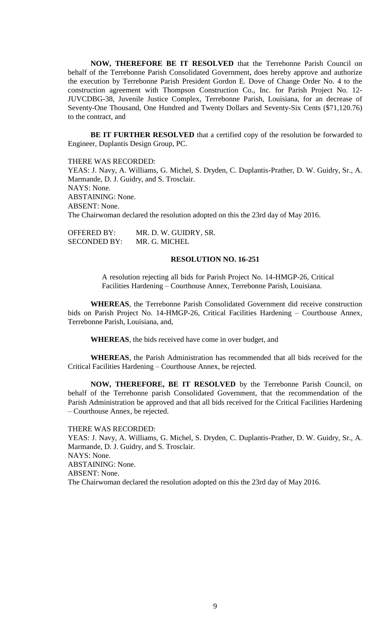**NOW, THEREFORE BE IT RESOLVED** that the Terrebonne Parish Council on behalf of the Terrebonne Parish Consolidated Government, does hereby approve and authorize the execution by Terrebonne Parish President Gordon E. Dove of Change Order No. 4 to the construction agreement with Thompson Construction Co., Inc. for Parish Project No. 12- JUVCDBG-38, Juvenile Justice Complex, Terrebonne Parish, Louisiana, for an decrease of Seventy-One Thousand, One Hundred and Twenty Dollars and Seventy-Six Cents (\$71,120.76) to the contract, and

**BE IT FURTHER RESOLVED** that a certified copy of the resolution be forwarded to Engineer, Duplantis Design Group, PC.

THERE WAS RECORDED:

YEAS: J. Navy, A. Williams, G. Michel, S. Dryden, C. Duplantis-Prather, D. W. Guidry, Sr., A. Marmande, D. J. Guidry, and S. Trosclair. NAYS: None. ABSTAINING: None. ABSENT: None. The Chairwoman declared the resolution adopted on this the 23rd day of May 2016.

OFFERED BY: MR. D. W. GUIDRY, SR. SECONDED BY: MR. G. MICHEL

#### **RESOLUTION NO. 16-251**

A resolution rejecting all bids for Parish Project No. 14-HMGP-26, Critical Facilities Hardening – Courthouse Annex, Terrebonne Parish, Louisiana.

**WHEREAS**, the Terrebonne Parish Consolidated Government did receive construction bids on Parish Project No. 14-HMGP-26, Critical Facilities Hardening – Courthouse Annex, Terrebonne Parish, Louisiana, and,

**WHEREAS**, the bids received have come in over budget, and

**WHEREAS**, the Parish Administration has recommended that all bids received for the Critical Facilities Hardening – Courthouse Annex, be rejected.

**NOW, THEREFORE, BE IT RESOLVED** by the Terrebonne Parish Council, on behalf of the Terrebonne parish Consolidated Government, that the recommendation of the Parish Administration be approved and that all bids received for the Critical Facilities Hardening – Courthouse Annex, be rejected.

THERE WAS RECORDED: YEAS: J. Navy, A. Williams, G. Michel, S. Dryden, C. Duplantis-Prather, D. W. Guidry, Sr., A. Marmande, D. J. Guidry, and S. Trosclair. NAYS: None. ABSTAINING: None. ABSENT: None. The Chairwoman declared the resolution adopted on this the 23rd day of May 2016.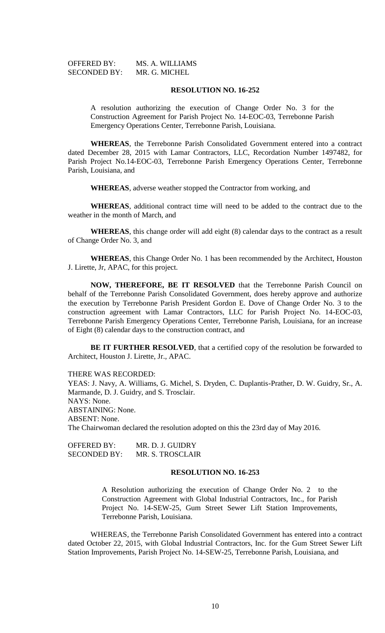| <b>OFFERED BY:</b>  | MS. A. WILLIAMS |
|---------------------|-----------------|
| <b>SECONDED BY:</b> | MR. G. MICHEL   |

#### **RESOLUTION NO. 16-252**

A resolution authorizing the execution of Change Order No. 3 for the Construction Agreement for Parish Project No. 14-EOC-03, Terrebonne Parish Emergency Operations Center, Terrebonne Parish, Louisiana.

**WHEREAS**, the Terrebonne Parish Consolidated Government entered into a contract dated December 28, 2015 with Lamar Contractors, LLC, Recordation Number 1497482, for Parish Project No.14-EOC-03, Terrebonne Parish Emergency Operations Center, Terrebonne Parish, Louisiana, and

**WHEREAS**, adverse weather stopped the Contractor from working, and

**WHEREAS**, additional contract time will need to be added to the contract due to the weather in the month of March, and

**WHEREAS**, this change order will add eight (8) calendar days to the contract as a result of Change Order No. 3, and

**WHEREAS**, this Change Order No. 1 has been recommended by the Architect, Houston J. Lirette, Jr, APAC, for this project.

**NOW, THEREFORE, BE IT RESOLVED** that the Terrebonne Parish Council on behalf of the Terrebonne Parish Consolidated Government, does hereby approve and authorize the execution by Terrebonne Parish President Gordon E. Dove of Change Order No. 3 to the construction agreement with Lamar Contractors, LLC for Parish Project No. 14-EOC-03, Terrebonne Parish Emergency Operations Center, Terrebonne Parish, Louisiana, for an increase of Eight (8) calendar days to the construction contract, and

**BE IT FURTHER RESOLVED**, that a certified copy of the resolution be forwarded to Architect, Houston J. Lirette, Jr., APAC.

THERE WAS RECORDED:

YEAS: J. Navy, A. Williams, G. Michel, S. Dryden, C. Duplantis-Prather, D. W. Guidry, Sr., A. Marmande, D. J. Guidry, and S. Trosclair. NAYS: None. ABSTAINING: None. ABSENT: None. The Chairwoman declared the resolution adopted on this the 23rd day of May 2016.

OFFERED BY: MR. D. J. GUIDRY SECONDED BY: MR. S. TROSCLAIR

#### **RESOLUTION NO. 16-253**

A Resolution authorizing the execution of Change Order No. 2 to the Construction Agreement with Global Industrial Contractors, Inc., for Parish Project No. 14-SEW-25, Gum Street Sewer Lift Station Improvements, Terrebonne Parish, Louisiana.

WHEREAS, the Terrebonne Parish Consolidated Government has entered into a contract dated October 22, 2015, with Global Industrial Contractors, Inc. for the Gum Street Sewer Lift Station Improvements, Parish Project No. 14-SEW-25, Terrebonne Parish, Louisiana, and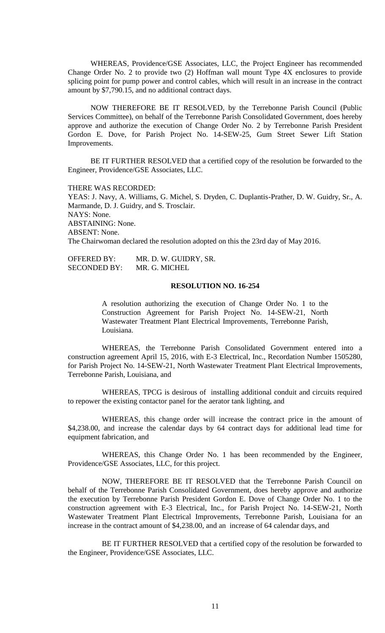WHEREAS, Providence/GSE Associates, LLC, the Project Engineer has recommended Change Order No. 2 to provide two (2) Hoffman wall mount Type 4X enclosures to provide splicing point for pump power and control cables, which will result in an increase in the contract amount by \$7,790.15, and no additional contract days.

NOW THEREFORE BE IT RESOLVED, by the Terrebonne Parish Council (Public Services Committee), on behalf of the Terrebonne Parish Consolidated Government, does hereby approve and authorize the execution of Change Order No. 2 by Terrebonne Parish President Gordon E. Dove, for Parish Project No. 14-SEW-25, Gum Street Sewer Lift Station Improvements.

BE IT FURTHER RESOLVED that a certified copy of the resolution be forwarded to the Engineer, Providence/GSE Associates, LLC.

THERE WAS RECORDED:

YEAS: J. Navy, A. Williams, G. Michel, S. Dryden, C. Duplantis-Prather, D. W. Guidry, Sr., A. Marmande, D. J. Guidry, and S. Trosclair. NAYS: None. ABSTAINING: None. ABSENT: None. The Chairwoman declared the resolution adopted on this the 23rd day of May 2016.

OFFERED BY: MR. D. W. GUIDRY, SR. SECONDED BY: MR. G. MICHEL

#### **RESOLUTION NO. 16-254**

A resolution authorizing the execution of Change Order No. 1 to the Construction Agreement for Parish Project No. 14-SEW-21, North Wastewater Treatment Plant Electrical Improvements, Terrebonne Parish, Louisiana.

WHEREAS, the Terrebonne Parish Consolidated Government entered into a construction agreement April 15, 2016, with E-3 Electrical, Inc., Recordation Number 1505280, for Parish Project No. 14-SEW-21, North Wastewater Treatment Plant Electrical Improvements, Terrebonne Parish, Louisiana, and

WHEREAS, TPCG is desirous of installing additional conduit and circuits required to repower the existing contactor panel for the aerator tank lighting, and

WHEREAS, this change order will increase the contract price in the amount of \$4,238.00, and increase the calendar days by 64 contract days for additional lead time for equipment fabrication, and

WHEREAS, this Change Order No. 1 has been recommended by the Engineer, Providence/GSE Associates, LLC, for this project.

NOW, THEREFORE BE IT RESOLVED that the Terrebonne Parish Council on behalf of the Terrebonne Parish Consolidated Government, does hereby approve and authorize the execution by Terrebonne Parish President Gordon E. Dove of Change Order No. 1 to the construction agreement with E-3 Electrical, Inc., for Parish Project No. 14-SEW-21, North Wastewater Treatment Plant Electrical Improvements, Terrebonne Parish, Louisiana for an increase in the contract amount of \$4,238.00, and an increase of 64 calendar days, and

BE IT FURTHER RESOLVED that a certified copy of the resolution be forwarded to the Engineer, Providence/GSE Associates, LLC.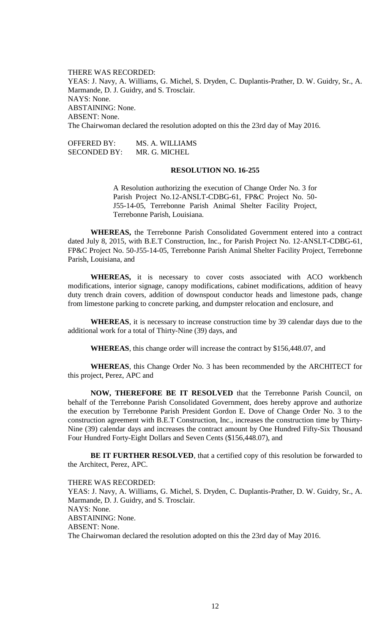THERE WAS RECORDED: YEAS: J. Navy, A. Williams, G. Michel, S. Dryden, C. Duplantis-Prather, D. W. Guidry, Sr., A. Marmande, D. J. Guidry, and S. Trosclair. NAYS: None. ABSTAINING: None. ABSENT: None. The Chairwoman declared the resolution adopted on this the 23rd day of May 2016.

OFFERED BY: MS. A. WILLIAMS SECONDED BY: MR. G. MICHEL

#### **RESOLUTION NO. 16-255**

A Resolution authorizing the execution of Change Order No. 3 for Parish Project No.12-ANSLT-CDBG-61, FP&C Project No. 50- J55-14-05, Terrebonne Parish Animal Shelter Facility Project, Terrebonne Parish, Louisiana.

**WHEREAS,** the Terrebonne Parish Consolidated Government entered into a contract dated July 8, 2015, with B.E.T Construction, Inc., for Parish Project No. 12-ANSLT-CDBG-61, FP&C Project No. 50-J55-14-05, Terrebonne Parish Animal Shelter Facility Project, Terrebonne Parish, Louisiana, and

**WHEREAS,** it is necessary to cover costs associated with ACO workbench modifications, interior signage, canopy modifications, cabinet modifications, addition of heavy duty trench drain covers, addition of downspout conductor heads and limestone pads, change from limestone parking to concrete parking, and dumpster relocation and enclosure, and

**WHEREAS**, it is necessary to increase construction time by 39 calendar days due to the additional work for a total of Thirty-Nine (39) days, and

**WHEREAS**, this change order will increase the contract by \$156,448.07, and

**WHEREAS**, this Change Order No. 3 has been recommended by the ARCHITECT for this project, Perez, APC and

**NOW, THEREFORE BE IT RESOLVED** that the Terrebonne Parish Council, on behalf of the Terrebonne Parish Consolidated Government, does hereby approve and authorize the execution by Terrebonne Parish President Gordon E. Dove of Change Order No. 3 to the construction agreement with B.E.T Construction, Inc., increases the construction time by Thirty-Nine (39) calendar days and increases the contract amount by One Hundred Fifty-Six Thousand Four Hundred Forty-Eight Dollars and Seven Cents (\$156,448.07), and

**BE IT FURTHER RESOLVED**, that a certified copy of this resolution be forwarded to the Architect, Perez, APC.

THERE WAS RECORDED:

YEAS: J. Navy, A. Williams, G. Michel, S. Dryden, C. Duplantis-Prather, D. W. Guidry, Sr., A. Marmande, D. J. Guidry, and S. Trosclair. NAYS: None. ABSTAINING: None. ABSENT: None. The Chairwoman declared the resolution adopted on this the 23rd day of May 2016.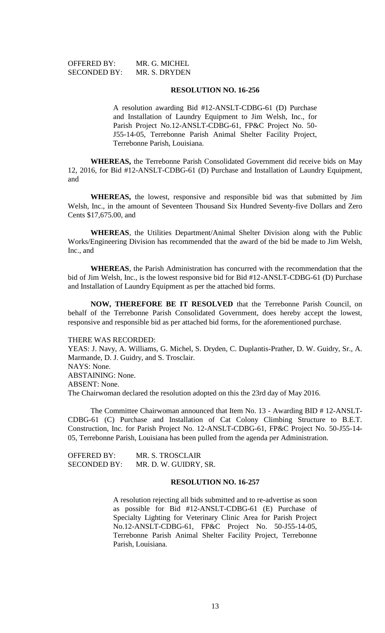| <b>OFFERED BY:</b>  | MR. G. MICHEL |
|---------------------|---------------|
| <b>SECONDED BY:</b> | MR. S. DRYDEN |

#### **RESOLUTION NO. 16-256**

A resolution awarding Bid #12-ANSLT-CDBG-61 (D) Purchase and Installation of Laundry Equipment to Jim Welsh, Inc., for Parish Project No.12-ANSLT-CDBG-61, FP&C Project No. 50- J55-14-05, Terrebonne Parish Animal Shelter Facility Project, Terrebonne Parish, Louisiana.

**WHEREAS,** the Terrebonne Parish Consolidated Government did receive bids on May 12, 2016, for Bid #12-ANSLT-CDBG-61 (D) Purchase and Installation of Laundry Equipment, and

**WHEREAS,** the lowest, responsive and responsible bid was that submitted by Jim Welsh, Inc., in the amount of Seventeen Thousand Six Hundred Seventy-five Dollars and Zero Cents \$17,675.00, and

**WHEREAS**, the Utilities Department/Animal Shelter Division along with the Public Works/Engineering Division has recommended that the award of the bid be made to Jim Welsh, Inc., and

**WHEREAS**, the Parish Administration has concurred with the recommendation that the bid of Jim Welsh, Inc., is the lowest responsive bid for Bid #12-ANSLT-CDBG-61 (D) Purchase and Installation of Laundry Equipment as per the attached bid forms.

**NOW, THEREFORE BE IT RESOLVED** that the Terrebonne Parish Council, on behalf of the Terrebonne Parish Consolidated Government, does hereby accept the lowest, responsive and responsible bid as per attached bid forms, for the aforementioned purchase.

#### THERE WAS RECORDED:

YEAS: J. Navy, A. Williams, G. Michel, S. Dryden, C. Duplantis-Prather, D. W. Guidry, Sr., A. Marmande, D. J. Guidry, and S. Trosclair. NAYS: None. ABSTAINING: None. ABSENT: None. The Chairwoman declared the resolution adopted on this the 23rd day of May 2016.

The Committee Chairwoman announced that Item No. 13 - Awarding BID # 12-ANSLT-CDBG-61 (C) Purchase and Installation of Cat Colony Climbing Structure to B.E.T. Construction, Inc. for Parish Project No. 12-ANSLT-CDBG-61, FP&C Project No. 50-J55-14- 05, Terrebonne Parish, Louisiana has been pulled from the agenda per Administration.

OFFERED BY: MR. S. TROSCLAIR SECONDED BY: MR. D. W. GUIDRY, SR.

## **RESOLUTION NO. 16-257**

A resolution rejecting all bids submitted and to re-advertise as soon as possible for Bid #12-ANSLT-CDBG-61 (E) Purchase of Specialty Lighting for Veterinary Clinic Area for Parish Project No.12-ANSLT-CDBG-61, FP&C Project No. 50-J55-14-05, Terrebonne Parish Animal Shelter Facility Project, Terrebonne Parish, Louisiana.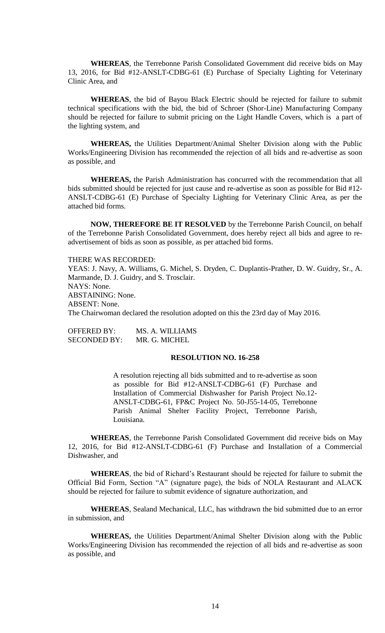**WHEREAS**, the Terrebonne Parish Consolidated Government did receive bids on May 13, 2016, for Bid #12-ANSLT-CDBG-61 (E) Purchase of Specialty Lighting for Veterinary Clinic Area, and

**WHEREAS**, the bid of Bayou Black Electric should be rejected for failure to submit technical specifications with the bid, the bid of Schroer (Shor-Line) Manufacturing Company should be rejected for failure to submit pricing on the Light Handle Covers, which is a part of the lighting system, and

**WHEREAS,** the Utilities Department/Animal Shelter Division along with the Public Works/Engineering Division has recommended the rejection of all bids and re-advertise as soon as possible, and

**WHEREAS,** the Parish Administration has concurred with the recommendation that all bids submitted should be rejected for just cause and re-advertise as soon as possible for Bid #12- ANSLT-CDBG-61 (E) Purchase of Specialty Lighting for Veterinary Clinic Area, as per the attached bid forms.

**NOW, THEREFORE BE IT RESOLVED** by the Terrebonne Parish Council, on behalf of the Terrebonne Parish Consolidated Government, does hereby reject all bids and agree to readvertisement of bids as soon as possible, as per attached bid forms.

THERE WAS RECORDED:

YEAS: J. Navy, A. Williams, G. Michel, S. Dryden, C. Duplantis-Prather, D. W. Guidry, Sr., A. Marmande, D. J. Guidry, and S. Trosclair. NAYS: None. ABSTAINING: None.

ABSENT: None.

The Chairwoman declared the resolution adopted on this the 23rd day of May 2016.

OFFERED BY: MS. A. WILLIAMS SECONDED BY: MR. G. MICHEL

## **RESOLUTION NO. 16-258**

A resolution rejecting all bids submitted and to re-advertise as soon as possible for Bid #12-ANSLT-CDBG-61 (F) Purchase and Installation of Commercial Dishwasher for Parish Project No.12- ANSLT-CDBG-61, FP&C Project No. 50-J55-14-05, Terrebonne Parish Animal Shelter Facility Project, Terrebonne Parish, Louisiana.

**WHEREAS**, the Terrebonne Parish Consolidated Government did receive bids on May 12, 2016, for Bid #12-ANSLT-CDBG-61 (F) Purchase and Installation of a Commercial Dishwasher, and

**WHEREAS**, the bid of Richard's Restaurant should be rejected for failure to submit the Official Bid Form, Section "A" (signature page), the bids of NOLA Restaurant and ALACK should be rejected for failure to submit evidence of signature authorization, and

**WHEREAS**, Sealand Mechanical, LLC, has withdrawn the bid submitted due to an error in submission, and

**WHEREAS,** the Utilities Department/Animal Shelter Division along with the Public Works/Engineering Division has recommended the rejection of all bids and re-advertise as soon as possible, and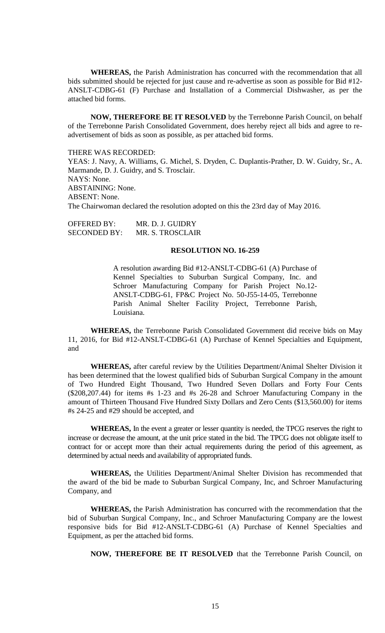**WHEREAS,** the Parish Administration has concurred with the recommendation that all bids submitted should be rejected for just cause and re-advertise as soon as possible for Bid #12- ANSLT-CDBG-61 (F) Purchase and Installation of a Commercial Dishwasher, as per the attached bid forms.

**NOW, THEREFORE BE IT RESOLVED** by the Terrebonne Parish Council, on behalf of the Terrebonne Parish Consolidated Government, does hereby reject all bids and agree to readvertisement of bids as soon as possible, as per attached bid forms.

THERE WAS RECORDED:

YEAS: J. Navy, A. Williams, G. Michel, S. Dryden, C. Duplantis-Prather, D. W. Guidry, Sr., A. Marmande, D. J. Guidry, and S. Trosclair. NAYS: None. ABSTAINING: None. ABSENT: None. The Chairwoman declared the resolution adopted on this the 23rd day of May 2016.

OFFERED BY: MR. D. J. GUIDRY SECONDED BY: MR. S. TROSCLAIR

## **RESOLUTION NO. 16-259**

A resolution awarding Bid #12-ANSLT-CDBG-61 (A) Purchase of Kennel Specialties to Suburban Surgical Company, Inc. and Schroer Manufacturing Company for Parish Project No.12- ANSLT-CDBG-61, FP&C Project No. 50-J55-14-05, Terrebonne Parish Animal Shelter Facility Project, Terrebonne Parish, Louisiana.

**WHEREAS,** the Terrebonne Parish Consolidated Government did receive bids on May 11, 2016, for Bid #12-ANSLT-CDBG-61 (A) Purchase of Kennel Specialties and Equipment, and

**WHEREAS,** after careful review by the Utilities Department/Animal Shelter Division it has been determined that the lowest qualified bids of Suburban Surgical Company in the amount of Two Hundred Eight Thousand, Two Hundred Seven Dollars and Forty Four Cents (\$208,207.44) for items #s 1-23 and #s 26-28 and Schroer Manufacturing Company in the amount of Thirteen Thousand Five Hundred Sixty Dollars and Zero Cents (\$13,560.00) for items #s 24-25 and #29 should be accepted, and

**WHEREAS,** In the event a greater or lesser quantity is needed, the TPCG reserves the right to increase or decrease the amount, at the unit price stated in the bid. The TPCG does not obligate itself to contract for or accept more than their actual requirements during the period of this agreement, as determined by actual needs and availability of appropriated funds.

**WHEREAS,** the Utilities Department/Animal Shelter Division has recommended that the award of the bid be made to Suburban Surgical Company, Inc, and Schroer Manufacturing Company, and

**WHEREAS,** the Parish Administration has concurred with the recommendation that the bid of Suburban Surgical Company, Inc., and Schroer Manufacturing Company are the lowest responsive bids for Bid #12-ANSLT-CDBG-61 (A) Purchase of Kennel Specialties and Equipment, as per the attached bid forms.

**NOW, THEREFORE BE IT RESOLVED** that the Terrebonne Parish Council, on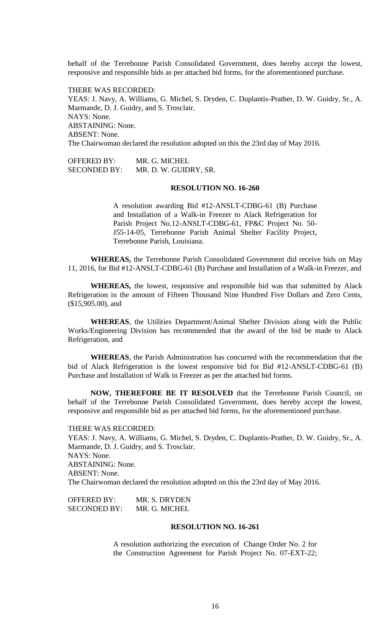behalf of the Terrebonne Parish Consolidated Government, does hereby accept the lowest, responsive and responsible bids as per attached bid forms, for the aforementioned purchase.

THERE WAS RECORDED: YEAS: J. Navy, A. Williams, G. Michel, S. Dryden, C. Duplantis-Prather, D. W. Guidry, Sr., A. Marmande, D. J. Guidry, and S. Trosclair. NAYS: None. ABSTAINING: None. ABSENT: None. The Chairwoman declared the resolution adopted on this the 23rd day of May 2016.

OFFERED BY: MR. G. MICHEL SECONDED BY: MR. D. W. GUIDRY, SR.

#### **RESOLUTION NO. 16-260**

A resolution awarding Bid #12-ANSLT-CDBG-61 (B) Purchase and Installation of a Walk-in Freezer to Alack Refrigeration for Parish Project No.12-ANSLT-CDBG-61, FP&C Project No. 50- J55-14-05, Terrebonne Parish Animal Shelter Facility Project, Terrebonne Parish, Louisiana.

**WHEREAS,** the Terrebonne Parish Consolidated Government did receive bids on May 11, 2016, for Bid #12-ANSLT-CDBG-61 (B) Purchase and Installation of a Walk-in Freezer, and

**WHEREAS,** the lowest, responsive and responsible bid was that submitted by Alack Refrigeration in the amount of Fifteen Thousand Nine Hundred Five Dollars and Zero Cents, (\$15,905.00), and

**WHEREAS**, the Utilities Department/Animal Shelter Division along with the Public Works/Engineering Division has recommended that the award of the bid be made to Alack Refrigeration, and

**WHEREAS**, the Parish Administration has concurred with the recommendation that the bid of Alack Refrigeration is the lowest responsive bid for Bid #12-ANSLT-CDBG-61 (B) Purchase and Installation of Walk in Freezer as per the attached bid forms.

**NOW, THEREFORE BE IT RESOLVED** that the Terrebonne Parish Council, on behalf of the Terrebonne Parish Consolidated Government, does hereby accept the lowest, responsive and responsible bid as per attached bid forms, for the aforementioned purchase.

THERE WAS RECORDED: YEAS: J. Navy, A. Williams, G. Michel, S. Dryden, C. Duplantis-Prather, D. W. Guidry, Sr., A. Marmande, D. J. Guidry, and S. Trosclair. NAYS: None. ABSTAINING: None. ABSENT: None. The Chairwoman declared the resolution adopted on this the 23rd day of May 2016.

OFFERED BY: MR. S. DRYDEN SECONDED BY: MR. G. MICHEL

## **RESOLUTION NO. 16-261**

A resolution authorizing the execution of Change Order No. 2 for the Construction Agreement for Parish Project No. 07-EXT-22;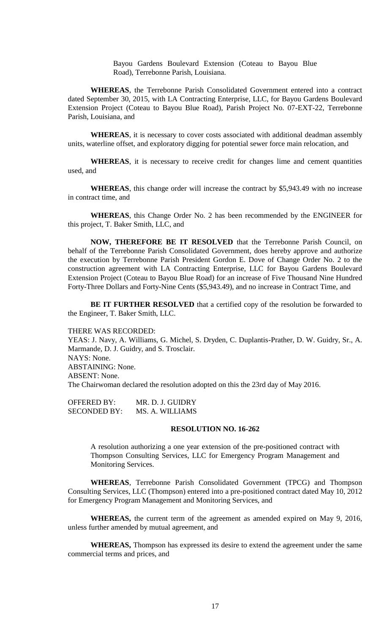Bayou Gardens Boulevard Extension (Coteau to Bayou Blue Road), Terrebonne Parish, Louisiana.

**WHEREAS**, the Terrebonne Parish Consolidated Government entered into a contract dated September 30, 2015, with LA Contracting Enterprise, LLC, for Bayou Gardens Boulevard Extension Project (Coteau to Bayou Blue Road), Parish Project No. 07-EXT-22, Terrebonne Parish, Louisiana, and

**WHEREAS**, it is necessary to cover costs associated with additional deadman assembly units, waterline offset, and exploratory digging for potential sewer force main relocation, and

**WHEREAS**, it is necessary to receive credit for changes lime and cement quantities used, and

**WHEREAS**, this change order will increase the contract by \$5,943.49 with no increase in contract time, and

**WHEREAS**, this Change Order No. 2 has been recommended by the ENGINEER for this project, T. Baker Smith, LLC, and

**NOW, THEREFORE BE IT RESOLVED** that the Terrebonne Parish Council, on behalf of the Terrebonne Parish Consolidated Government, does hereby approve and authorize the execution by Terrebonne Parish President Gordon E. Dove of Change Order No. 2 to the construction agreement with LA Contracting Enterprise, LLC for Bayou Gardens Boulevard Extension Project (Coteau to Bayou Blue Road) for an increase of Five Thousand Nine Hundred Forty-Three Dollars and Forty-Nine Cents (\$5,943.49), and no increase in Contract Time, and

BE IT FURTHER RESOLVED that a certified copy of the resolution be forwarded to the Engineer, T. Baker Smith, LLC.

#### THERE WAS RECORDED:

YEAS: J. Navy, A. Williams, G. Michel, S. Dryden, C. Duplantis-Prather, D. W. Guidry, Sr., A. Marmande, D. J. Guidry, and S. Trosclair. NAYS: None. ABSTAINING: None. ABSENT: None. The Chairwoman declared the resolution adopted on this the 23rd day of May 2016.

OFFERED BY: MR. D. J. GUIDRY SECONDED BY: MS. A. WILLIAMS

## **RESOLUTION NO. 16-262**

A resolution authorizing a one year extension of the pre-positioned contract with Thompson Consulting Services, LLC for Emergency Program Management and Monitoring Services.

**WHEREAS**, Terrebonne Parish Consolidated Government (TPCG) and Thompson Consulting Services, LLC (Thompson) entered into a pre-positioned contract dated May 10, 2012 for Emergency Program Management and Monitoring Services, and

**WHEREAS,** the current term of the agreement as amended expired on May 9, 2016, unless further amended by mutual agreement, and

**WHEREAS,** Thompson has expressed its desire to extend the agreement under the same commercial terms and prices, and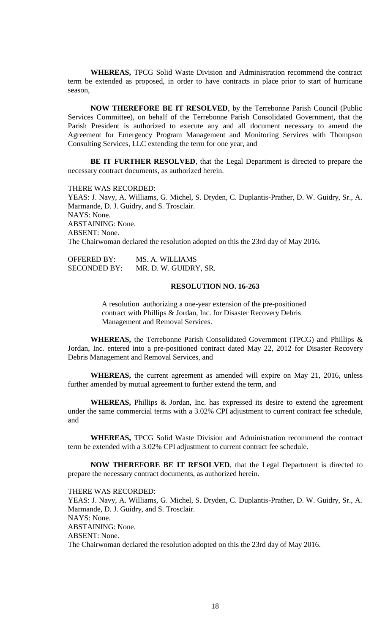**WHEREAS,** TPCG Solid Waste Division and Administration recommend the contract term be extended as proposed, in order to have contracts in place prior to start of hurricane season,

**NOW THEREFORE BE IT RESOLVED**, by the Terrebonne Parish Council (Public Services Committee), on behalf of the Terrebonne Parish Consolidated Government, that the Parish President is authorized to execute any and all document necessary to amend the Agreement for Emergency Program Management and Monitoring Services with Thompson Consulting Services, LLC extending the term for one year, and

**BE IT FURTHER RESOLVED**, that the Legal Department is directed to prepare the necessary contract documents, as authorized herein.

THERE WAS RECORDED: YEAS: J. Navy, A. Williams, G. Michel, S. Dryden, C. Duplantis-Prather, D. W. Guidry, Sr., A. Marmande, D. J. Guidry, and S. Trosclair. NAYS: None. ABSTAINING: None. ABSENT: None. The Chairwoman declared the resolution adopted on this the 23rd day of May 2016.

| <b>OFFERED BY:</b>  | MS. A. WILLIAMS       |
|---------------------|-----------------------|
| <b>SECONDED BY:</b> | MR. D. W. GUIDRY, SR. |

#### **RESOLUTION NO. 16-263**

A resolution authorizing a one-year extension of the pre-positioned contract with Phillips & Jordan, Inc. for Disaster Recovery Debris Management and Removal Services.

**WHEREAS,** the Terrebonne Parish Consolidated Government (TPCG) and Phillips & Jordan, Inc. entered into a pre-positioned contract dated May 22, 2012 for Disaster Recovery Debris Management and Removal Services, and

**WHEREAS,** the current agreement as amended will expire on May 21, 2016, unless further amended by mutual agreement to further extend the term, and

**WHEREAS,** Phillips & Jordan, Inc. has expressed its desire to extend the agreement under the same commercial terms with a 3.02% CPI adjustment to current contract fee schedule, and

**WHEREAS,** TPCG Solid Waste Division and Administration recommend the contract term be extended with a 3.02% CPI adjustment to current contract fee schedule.

**NOW THEREFORE BE IT RESOLVED**, that the Legal Department is directed to prepare the necessary contract documents, as authorized herein.

THERE WAS RECORDED:

YEAS: J. Navy, A. Williams, G. Michel, S. Dryden, C. Duplantis-Prather, D. W. Guidry, Sr., A. Marmande, D. J. Guidry, and S. Trosclair. NAYS: None. ABSTAINING: None. ABSENT: None. The Chairwoman declared the resolution adopted on this the 23rd day of May 2016.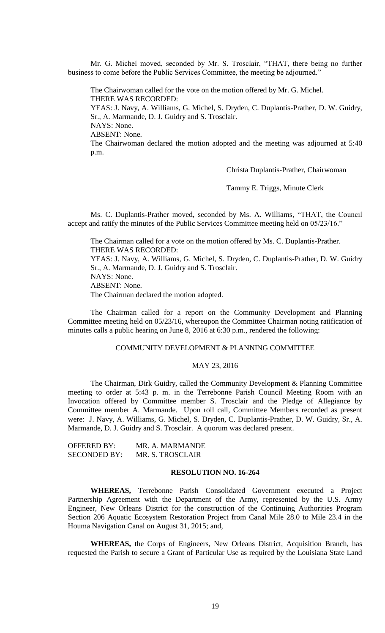Mr. G. Michel moved, seconded by Mr. S. Trosclair, "THAT, there being no further business to come before the Public Services Committee, the meeting be adjourned."

The Chairwoman called for the vote on the motion offered by Mr. G. Michel. THERE WAS RECORDED: YEAS: J. Navy, A. Williams, G. Michel, S. Dryden, C. Duplantis-Prather, D. W. Guidry, Sr., A. Marmande, D. J. Guidry and S. Trosclair. NAYS: None. ABSENT: None. The Chairwoman declared the motion adopted and the meeting was adjourned at 5:40 p.m.

Christa Duplantis-Prather, Chairwoman

Tammy E. Triggs, Minute Clerk

Ms. C. Duplantis-Prather moved, seconded by Ms. A. Williams, "THAT, the Council accept and ratify the minutes of the Public Services Committee meeting held on 05/23/16."

The Chairman called for a vote on the motion offered by Ms. C. Duplantis-Prather. THERE WAS RECORDED:

YEAS: J. Navy, A. Williams, G. Michel, S. Dryden, C. Duplantis-Prather, D. W. Guidry Sr., A. Marmande, D. J. Guidry and S. Trosclair. NAYS: None. ABSENT: None.

The Chairman declared the motion adopted.

The Chairman called for a report on the Community Development and Planning Committee meeting held on 05/23/16, whereupon the Committee Chairman noting ratification of minutes calls a public hearing on June 8, 2016 at 6:30 p.m., rendered the following:

#### COMMUNITY DEVELOPMENT & PLANNING COMMITTEE

#### MAY 23, 2016

The Chairman, Dirk Guidry, called the Community Development & Planning Committee meeting to order at 5:43 p. m. in the Terrebonne Parish Council Meeting Room with an Invocation offered by Committee member S. Trosclair and the Pledge of Allegiance by Committee member A. Marmande. Upon roll call, Committee Members recorded as present were: J. Navy, A. Williams, G. Michel, S. Dryden, C. Duplantis-Prather, D. W. Guidry, Sr., A. Marmande, D. J. Guidry and S. Trosclair. A quorum was declared present.

OFFERED BY: MR. A. MARMANDE SECONDED BY: MR. S. TROSCLAIR

#### **RESOLUTION NO. 16-264**

**WHEREAS,** Terrebonne Parish Consolidated Government executed a Project Partnership Agreement with the Department of the Army, represented by the U.S. Army Engineer, New Orleans District for the construction of the Continuing Authorities Program Section 206 Aquatic Ecosystem Restoration Project from Canal Mile 28.0 to Mile 23.4 in the Houma Navigation Canal on August 31, 2015; and,

**WHEREAS,** the Corps of Engineers, New Orleans District, Acquisition Branch, has requested the Parish to secure a Grant of Particular Use as required by the Louisiana State Land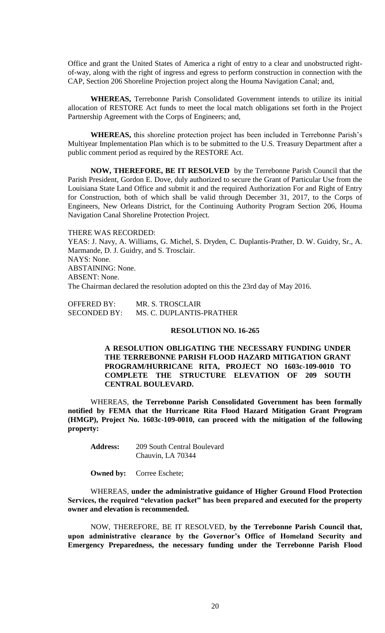Office and grant the United States of America a right of entry to a clear and unobstructed rightof-way, along with the right of ingress and egress to perform construction in connection with the CAP, Section 206 Shoreline Projection project along the Houma Navigation Canal; and,

**WHEREAS,** Terrebonne Parish Consolidated Government intends to utilize its initial allocation of RESTORE Act funds to meet the local match obligations set forth in the Project Partnership Agreement with the Corps of Engineers; and,

**WHEREAS,** this shoreline protection project has been included in Terrebonne Parish's Multiyear Implementation Plan which is to be submitted to the U.S. Treasury Department after a public comment period as required by the RESTORE Act.

**NOW, THEREFORE, BE IT RESOLVED** by the Terrebonne Parish Council that the Parish President, Gordon E. Dove, duly authorized to secure the Grant of Particular Use from the Louisiana State Land Office and submit it and the required Authorization For and Right of Entry for Construction, both of which shall be valid through December 31, 2017, to the Corps of Engineers, New Orleans District, for the Continuing Authority Program Section 206, Houma Navigation Canal Shoreline Protection Project.

#### THERE WAS RECORDED:

YEAS: J. Navy, A. Williams, G. Michel, S. Dryden, C. Duplantis-Prather, D. W. Guidry, Sr., A. Marmande, D. J. Guidry, and S. Trosclair. NAYS: None. ABSTAINING: None. ABSENT: None. The Chairman declared the resolution adopted on this the 23rd day of May 2016.

| <b>OFFERED BY:</b>  | MR. S. TROSCLAIR         |
|---------------------|--------------------------|
| <b>SECONDED BY:</b> | MS. C. DUPLANTIS-PRATHER |

## **RESOLUTION NO. 16-265**

**A RESOLUTION OBLIGATING THE NECESSARY FUNDING UNDER THE TERREBONNE PARISH FLOOD HAZARD MITIGATION GRANT PROGRAM/HURRICANE RITA, PROJECT NO 1603c-109-0010 TO COMPLETE THE STRUCTURE ELEVATION OF 209 SOUTH CENTRAL BOULEVARD.**

WHEREAS, **the Terrebonne Parish Consolidated Government has been formally notified by FEMA that the Hurricane Rita Flood Hazard Mitigation Grant Program (HMGP), Project No. 1603c-109-0010, can proceed with the mitigation of the following property:**

**Address:** 209 South Central Boulevard Chauvin, LA 70344

**Owned by:** Corree Eschete;

WHEREAS, **under the administrative guidance of Higher Ground Flood Protection Services, the required "elevation packet" has been prepared and executed for the property owner and elevation is recommended.**

NOW, THEREFORE, BE IT RESOLVED, **by the Terrebonne Parish Council that, upon administrative clearance by the Governor's Office of Homeland Security and Emergency Preparedness, the necessary funding under the Terrebonne Parish Flood**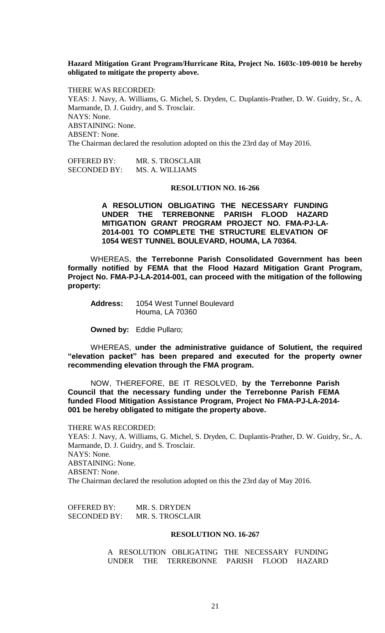**Hazard Mitigation Grant Program/Hurricane Rita, Project No. 1603c-109-0010 be hereby obligated to mitigate the property above.**

THERE WAS RECORDED: YEAS: J. Navy, A. Williams, G. Michel, S. Dryden, C. Duplantis-Prather, D. W. Guidry, Sr., A. Marmande, D. J. Guidry, and S. Trosclair. NAYS: None. ABSTAINING: None. ABSENT: None. The Chairman declared the resolution adopted on this the 23rd day of May 2016.

OFFERED BY: MR. S. TROSCLAIR SECONDED BY: MS. A. WILLIAMS

# **RESOLUTION NO. 16-266**

**A RESOLUTION OBLIGATING THE NECESSARY FUNDING UNDER THE TERREBONNE PARISH FLOOD HAZARD MITIGATION GRANT PROGRAM PROJECT NO. FMA-PJ-LA-2014-001 TO COMPLETE THE STRUCTURE ELEVATION OF 1054 WEST TUNNEL BOULEVARD, HOUMA, LA 70364.**

WHEREAS, **the Terrebonne Parish Consolidated Government has been formally notified by FEMA that the Flood Hazard Mitigation Grant Program, Project No. FMA-PJ-LA-2014-001, can proceed with the mitigation of the following property:**

| <b>Address:</b> | 1054 West Tunnel Boulevard |
|-----------------|----------------------------|
|                 | Houma, LA 70360            |

**Owned by:** Eddie Pullaro;

WHEREAS, **under the administrative guidance of Solutient, the required "elevation packet" has been prepared and executed for the property owner recommending elevation through the FMA program.**

NOW, THEREFORE, BE IT RESOLVED, **by the Terrebonne Parish Council that the necessary funding under the Terrebonne Parish FEMA funded Flood Mitigation Assistance Program, Project No FMA-PJ-LA-2014- 001 be hereby obligated to mitigate the property above.**

THERE WAS RECORDED: YEAS: J. Navy, A. Williams, G. Michel, S. Dryden, C. Duplantis-Prather, D. W. Guidry, Sr., A. Marmande, D. J. Guidry, and S. Trosclair. NAYS: None. ABSTAINING: None. ABSENT: None. The Chairman declared the resolution adopted on this the 23rd day of May 2016.

OFFERED BY: MR. S. DRYDEN SECONDED BY: MR. S. TROSCLAIR

## **RESOLUTION NO. 16-267**

A RESOLUTION OBLIGATING THE NECESSARY FUNDING UNDER THE TERREBONNE PARISH FLOOD HAZARD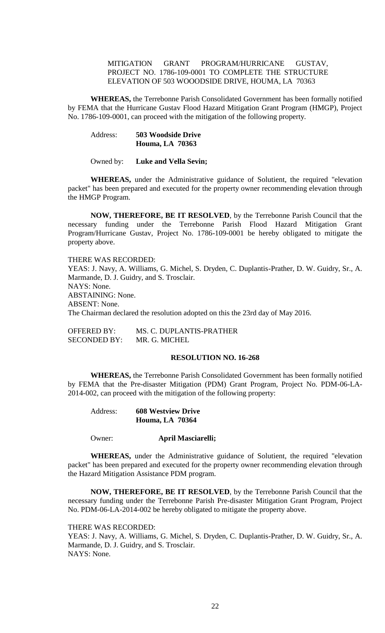# MITIGATION GRANT PROGRAM/HURRICANE GUSTAV, PROJECT NO. 1786-109-0001 TO COMPLETE THE STRUCTURE ELEVATION OF 503 WOOODSIDE DRIVE, HOUMA, LA 70363

**WHEREAS,** the Terrebonne Parish Consolidated Government has been formally notified by FEMA that the Hurricane Gustav Flood Hazard Mitigation Grant Program (HMGP), Project No. 1786-109-0001, can proceed with the mitigation of the following property.

# Address: **503 Woodside Drive Houma, LA 70363**

#### Owned by: **Luke and Vella Sevin;**

**WHEREAS,** under the Administrative guidance of Solutient, the required "elevation packet" has been prepared and executed for the property owner recommending elevation through the HMGP Program.

**NOW, THEREFORE, BE IT RESOLVED**, by the Terrebonne Parish Council that the necessary funding under the Terrebonne Parish Flood Hazard Mitigation Grant Program/Hurricane Gustav, Project No. 1786-109-0001 be hereby obligated to mitigate the property above.

THERE WAS RECORDED: YEAS: J. Navy, A. Williams, G. Michel, S. Dryden, C. Duplantis-Prather, D. W. Guidry, Sr., A. Marmande, D. J. Guidry, and S. Trosclair. NAYS: None. ABSTAINING: None. ABSENT: None. The Chairman declared the resolution adopted on this the 23rd day of May 2016.

OFFERED BY: MS. C. DUPLANTIS-PRATHER SECONDED BY: MR. G. MICHEL

## **RESOLUTION NO. 16-268**

**WHEREAS,** the Terrebonne Parish Consolidated Government has been formally notified by FEMA that the Pre-disaster Mitigation (PDM) Grant Program, Project No. PDM-06-LA-2014-002, can proceed with the mitigation of the following property:

| Address: | <b>608 Westview Drive</b> |
|----------|---------------------------|
|          | <b>Houma, LA 70364</b>    |

## Owner: **April Masciarelli;**

**WHEREAS,** under the Administrative guidance of Solutient, the required "elevation packet" has been prepared and executed for the property owner recommending elevation through the Hazard Mitigation Assistance PDM program.

**NOW, THEREFORE, BE IT RESOLVED**, by the Terrebonne Parish Council that the necessary funding under the Terrebonne Parish Pre-disaster Mitigation Grant Program, Project No. PDM-06-LA-2014-002 be hereby obligated to mitigate the property above.

## THERE WAS RECORDED:

YEAS: J. Navy, A. Williams, G. Michel, S. Dryden, C. Duplantis-Prather, D. W. Guidry, Sr., A. Marmande, D. J. Guidry, and S. Trosclair. NAYS: None.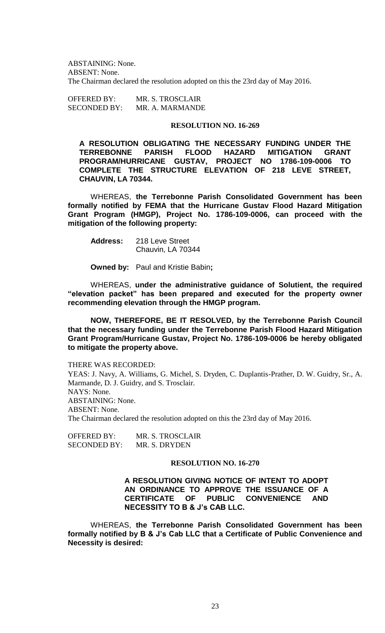ABSTAINING: None. ABSENT: None. The Chairman declared the resolution adopted on this the 23rd day of May 2016.

OFFERED BY: MR. S. TROSCLAIR SECONDED BY: MR. A. MARMANDE

# **RESOLUTION NO. 16-269**

**A RESOLUTION OBLIGATING THE NECESSARY FUNDING UNDER THE TERREBONNE PARISH FLOOD HAZARD MITIGATION GRANT PROGRAM/HURRICANE GUSTAV, PROJECT NO 1786-109-0006 TO COMPLETE THE STRUCTURE ELEVATION OF 218 LEVE STREET, CHAUVIN, LA 70344.**

WHEREAS, **the Terrebonne Parish Consolidated Government has been formally notified by FEMA that the Hurricane Gustav Flood Hazard Mitigation Grant Program (HMGP), Project No. 1786-109-0006, can proceed with the mitigation of the following property:**

**Address:** 218 Leve Street Chauvin, LA 70344

**Owned by:** Paul and Kristie Babin**;**

WHEREAS, **under the administrative guidance of Solutient, the required "elevation packet" has been prepared and executed for the property owner recommending elevation through the HMGP program.**

**NOW, THEREFORE, BE IT RESOLVED, by the Terrebonne Parish Council that the necessary funding under the Terrebonne Parish Flood Hazard Mitigation Grant Program/Hurricane Gustav, Project No. 1786-109-0006 be hereby obligated to mitigate the property above.**

THERE WAS RECORDED:

YEAS: J. Navy, A. Williams, G. Michel, S. Dryden, C. Duplantis-Prather, D. W. Guidry, Sr., A. Marmande, D. J. Guidry, and S. Trosclair. NAYS: None. ABSTAINING: None. ABSENT: None. The Chairman declared the resolution adopted on this the 23rd day of May 2016.

OFFERED BY: MR. S. TROSCLAIR SECONDED BY: MR. S. DRYDEN

## **RESOLUTION NO. 16-270**

**A RESOLUTION GIVING NOTICE OF INTENT TO ADOPT AN ORDINANCE TO APPROVE THE ISSUANCE OF A CERTIFICATE OF PUBLIC CONVENIENCE AND NECESSITY TO B & J's CAB LLC.**

WHEREAS, **the Terrebonne Parish Consolidated Government has been formally notified by B & J's Cab LLC that a Certificate of Public Convenience and Necessity is desired:**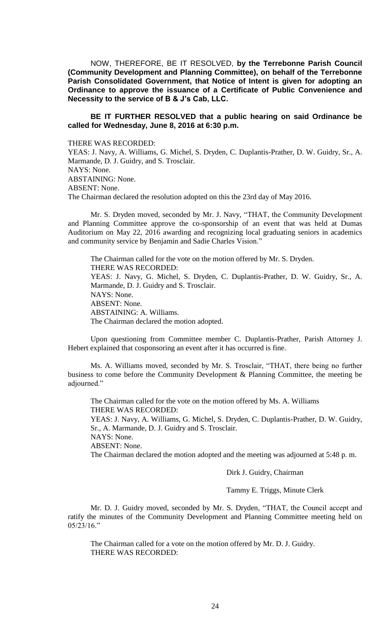NOW, THEREFORE, BE IT RESOLVED, **by the Terrebonne Parish Council (Community Development and Planning Committee), on behalf of the Terrebonne Parish Consolidated Government, that Notice of Intent is given for adopting an Ordinance to approve the issuance of a Certificate of Public Convenience and Necessity to the service of B & J's Cab, LLC.**

# **BE IT FURTHER RESOLVED that a public hearing on said Ordinance be called for Wednesday, June 8, 2016 at 6:30 p.m.**

## THERE WAS RECORDED:

YEAS: J. Navy, A. Williams, G. Michel, S. Dryden, C. Duplantis-Prather, D. W. Guidry, Sr., A. Marmande, D. J. Guidry, and S. Trosclair. NAYS: None. ABSTAINING: None. ABSENT: None. The Chairman declared the resolution adopted on this the 23rd day of May 2016.

Mr. S. Dryden moved, seconded by Mr. J. Navy, "THAT, the Community Development and Planning Committee approve the co-sponsorship of an event that was held at Dumas Auditorium on May 22, 2016 awarding and recognizing local graduating seniors in academics and community service by Benjamin and Sadie Charles Vision."

The Chairman called for the vote on the motion offered by Mr. S. Dryden. THERE WAS RECORDED: YEAS: J. Navy, G. Michel, S. Dryden, C. Duplantis-Prather, D. W. Guidry, Sr., A. Marmande, D. J. Guidry and S. Trosclair. NAYS: None. ABSENT: None. ABSTAINING: A. Williams. The Chairman declared the motion adopted.

Upon questioning from Committee member C. Duplantis-Prather, Parish Attorney J. Hebert explained that cosponsoring an event after it has occurred is fine.

Ms. A. Williams moved, seconded by Mr. S. Trosclair, "THAT, there being no further business to come before the Community Development & Planning Committee, the meeting be adjourned."

The Chairman called for the vote on the motion offered by Ms. A. Williams THERE WAS RECORDED:

YEAS: J. Navy, A. Williams, G. Michel, S. Dryden, C. Duplantis-Prather, D. W. Guidry, Sr., A. Marmande, D. J. Guidry and S. Trosclair.

NAYS: None.

ABSENT: None.

The Chairman declared the motion adopted and the meeting was adjourned at 5:48 p. m.

Dirk J. Guidry, Chairman

Tammy E. Triggs, Minute Clerk

Mr. D. J. Guidry moved, seconded by Mr. S. Dryden, "THAT, the Council accept and ratify the minutes of the Community Development and Planning Committee meeting held on 05/23/16."

The Chairman called for a vote on the motion offered by Mr. D. J. Guidry. THERE WAS RECORDED: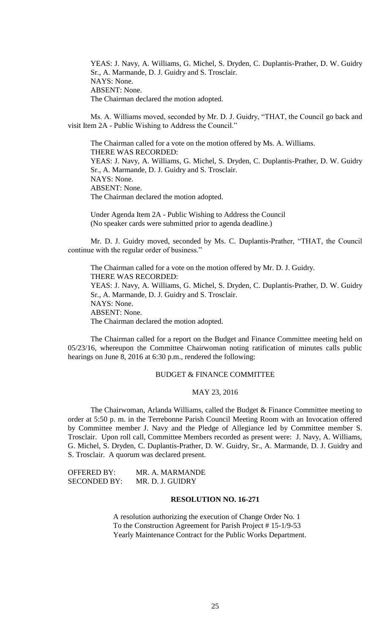YEAS: J. Navy, A. Williams, G. Michel, S. Dryden, C. Duplantis-Prather, D. W. Guidry Sr., A. Marmande, D. J. Guidry and S. Trosclair. NAYS: None. ABSENT: None. The Chairman declared the motion adopted.

Ms. A. Williams moved, seconded by Mr. D. J. Guidry, "THAT, the Council go back and visit Item 2A - Public Wishing to Address the Council."

The Chairman called for a vote on the motion offered by Ms. A. Williams. THERE WAS RECORDED: YEAS: J. Navy, A. Williams, G. Michel, S. Dryden, C. Duplantis-Prather, D. W. Guidry Sr., A. Marmande, D. J. Guidry and S. Trosclair. NAYS: None. ABSENT: None. The Chairman declared the motion adopted.

Under Agenda Item 2A - Public Wishing to Address the Council (No speaker cards were submitted prior to agenda deadline.)

Mr. D. J. Guidry moved, seconded by Ms. C. Duplantis-Prather, "THAT, the Council continue with the regular order of business."

The Chairman called for a vote on the motion offered by Mr. D. J. Guidry. THERE WAS RECORDED: YEAS: J. Navy, A. Williams, G. Michel, S. Dryden, C. Duplantis-Prather, D. W. Guidry Sr., A. Marmande, D. J. Guidry and S. Trosclair. NAYS: None. ABSENT: None. The Chairman declared the motion adopted.

The Chairman called for a report on the Budget and Finance Committee meeting held on 05/23/16, whereupon the Committee Chairwoman noting ratification of minutes calls public hearings on June 8, 2016 at 6:30 p.m., rendered the following:

## BUDGET & FINANCE COMMITTEE

# MAY 23, 2016

The Chairwoman, Arlanda Williams, called the Budget & Finance Committee meeting to order at 5:50 p. m. in the Terrebonne Parish Council Meeting Room with an Invocation offered by Committee member J. Navy and the Pledge of Allegiance led by Committee member S. Trosclair. Upon roll call, Committee Members recorded as present were: J. Navy, A. Williams, G. Michel, S. Dryden, C. Duplantis-Prather, D. W. Guidry, Sr., A. Marmande, D. J. Guidry and S. Trosclair. A quorum was declared present.

| OFFERED BY:         | MR. A. MARMANDE  |
|---------------------|------------------|
| <b>SECONDED BY:</b> | MR. D. J. GUIDRY |

# **RESOLUTION NO. 16-271**

A resolution authorizing the execution of Change Order No. 1 To the Construction Agreement for Parish Project # 15-1/9-53 Yearly Maintenance Contract for the Public Works Department.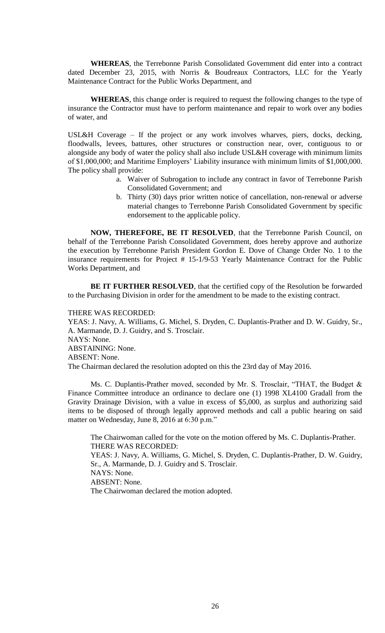**WHEREAS**, the Terrebonne Parish Consolidated Government did enter into a contract dated December 23, 2015, with Norris & Boudreaux Contractors, LLC for the Yearly Maintenance Contract for the Public Works Department, and

**WHEREAS**, this change order is required to request the following changes to the type of insurance the Contractor must have to perform maintenance and repair to work over any bodies of water, and

USL&H Coverage – If the project or any work involves wharves, piers, docks, decking, floodwalls, levees, battures, other structures or construction near, over, contiguous to or alongside any body of water the policy shall also include USL&H coverage with minimum limits of \$1,000,000; and Maritime Employers' Liability insurance with minimum limits of \$1,000,000. The policy shall provide:

- a. Waiver of Subrogation to include any contract in favor of Terrebonne Parish Consolidated Government; and
- b. Thirty (30) days prior written notice of cancellation, non-renewal or adverse material changes to Terrebonne Parish Consolidated Government by specific endorsement to the applicable policy.

**NOW, THEREFORE, BE IT RESOLVED**, that the Terrebonne Parish Council, on behalf of the Terrebonne Parish Consolidated Government, does hereby approve and authorize the execution by Terrebonne Parish President Gordon E. Dove of Change Order No. 1 to the insurance requirements for Project # 15-1/9-53 Yearly Maintenance Contract for the Public Works Department, and

**BE IT FURTHER RESOLVED**, that the certified copy of the Resolution be forwarded to the Purchasing Division in order for the amendment to be made to the existing contract.

#### THERE WAS RECORDED:

YEAS: J. Navy, A. Williams, G. Michel, S. Dryden, C. Duplantis-Prather and D. W. Guidry, Sr., A. Marmande, D. J. Guidry, and S. Trosclair. NAYS: None. ABSTAINING: None. ABSENT: None. The Chairman declared the resolution adopted on this the 23rd day of May 2016.

Ms. C. Duplantis-Prather moved, seconded by Mr. S. Trosclair, "THAT, the Budget & Finance Committee introduce an ordinance to declare one (1) 1998 XL4100 Gradall from the Gravity Drainage Division, with a value in excess of \$5,000, as surplus and authorizing said items to be disposed of through legally approved methods and call a public hearing on said matter on Wednesday, June 8, 2016 at 6:30 p.m."

The Chairwoman called for the vote on the motion offered by Ms. C. Duplantis-Prather. THERE WAS RECORDED:

YEAS: J. Navy, A. Williams, G. Michel, S. Dryden, C. Duplantis-Prather, D. W. Guidry, Sr., A. Marmande, D. J. Guidry and S. Trosclair. NAYS: None. ABSENT: None.

The Chairwoman declared the motion adopted.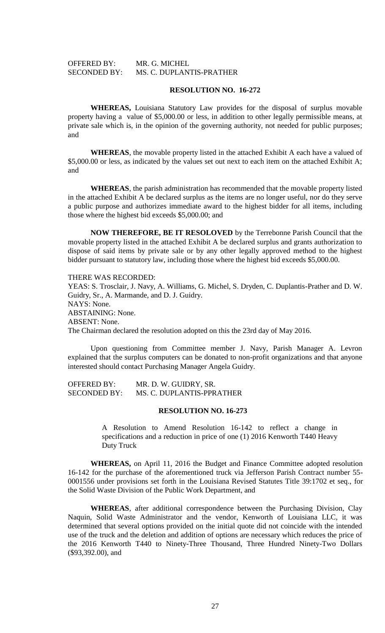# OFFERED BY: MR. G. MICHEL SECONDED BY: MS. C. DUPLANTIS-PRATHER

### **RESOLUTION NO. 16-272**

**WHEREAS,** Louisiana Statutory Law provides for the disposal of surplus movable property having a value of \$5,000.00 or less, in addition to other legally permissible means, at private sale which is, in the opinion of the governing authority, not needed for public purposes; and

**WHEREAS**, the movable property listed in the attached Exhibit A each have a valued of \$5,000.00 or less, as indicated by the values set out next to each item on the attached Exhibit A; and

**WHEREAS**, the parish administration has recommended that the movable property listed in the attached Exhibit A be declared surplus as the items are no longer useful, nor do they serve a public purpose and authorizes immediate award to the highest bidder for all items, including those where the highest bid exceeds \$5,000.00; and

**NOW THEREFORE, BE IT RESOLOVED** by the Terrebonne Parish Council that the movable property listed in the attached Exhibit A be declared surplus and grants authorization to dispose of said items by private sale or by any other legally approved method to the highest bidder pursuant to statutory law, including those where the highest bid exceeds \$5,000.00.

## THERE WAS RECORDED:

YEAS: S. Trosclair, J. Navy, A. Williams, G. Michel, S. Dryden, C. Duplantis-Prather and D. W. Guidry, Sr., A. Marmande, and D. J. Guidry. NAYS: None. ABSTAINING: None. ABSENT: None. The Chairman declared the resolution adopted on this the 23rd day of May 2016.

Upon questioning from Committee member J. Navy, Parish Manager A. Levron explained that the surplus computers can be donated to non-profit organizations and that anyone interested should contact Purchasing Manager Angela Guidry.

| <b>OFFERED BY:</b>  | MR. D. W. GUIDRY, SR.     |
|---------------------|---------------------------|
| <b>SECONDED BY:</b> | MS. C. DUPLANTIS-PPRATHER |

#### **RESOLUTION NO. 16-273**

A Resolution to Amend Resolution 16-142 to reflect a change in specifications and a reduction in price of one (1) 2016 Kenworth T440 Heavy Duty Truck

**WHEREAS,** on April 11, 2016 the Budget and Finance Committee adopted resolution 16-142 for the purchase of the aforementioned truck via Jefferson Parish Contract number 55- 0001556 under provisions set forth in the Louisiana Revised Statutes Title 39:1702 et seq., for the Solid Waste Division of the Public Work Department, and

**WHEREAS**, after additional correspondence between the Purchasing Division, Clay Naquin, Solid Waste Administrator and the vendor, Kenworth of Louisiana LLC, it was determined that several options provided on the initial quote did not coincide with the intended use of the truck and the deletion and addition of options are necessary which reduces the price of the 2016 Kenworth T440 to Ninety-Three Thousand, Three Hundred Ninety-Two Dollars (\$93,392.00), and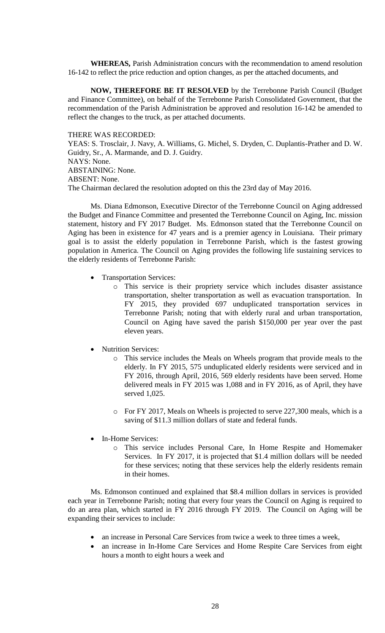**WHEREAS,** Parish Administration concurs with the recommendation to amend resolution 16-142 to reflect the price reduction and option changes, as per the attached documents, and

**NOW, THEREFORE BE IT RESOLVED** by the Terrebonne Parish Council (Budget and Finance Committee), on behalf of the Terrebonne Parish Consolidated Government, that the recommendation of the Parish Administration be approved and resolution 16-142 be amended to reflect the changes to the truck, as per attached documents.

#### THERE WAS RECORDED:

YEAS: S. Trosclair, J. Navy, A. Williams, G. Michel, S. Dryden, C. Duplantis-Prather and D. W. Guidry, Sr., A. Marmande, and D. J. Guidry. NAYS: None.

ABSTAINING: None.

ABSENT: None.

The Chairman declared the resolution adopted on this the 23rd day of May 2016.

Ms. Diana Edmonson, Executive Director of the Terrebonne Council on Aging addressed the Budget and Finance Committee and presented the Terrebonne Council on Aging, Inc. mission statement, history and FY 2017 Budget. Ms. Edmonson stated that the Terrebonne Council on Aging has been in existence for 47 years and is a premier agency in Louisiana. Their primary goal is to assist the elderly population in Terrebonne Parish, which is the fastest growing population in America. The Council on Aging provides the following life sustaining services to the elderly residents of Terrebonne Parish:

- Transportation Services:
	- o This service is their propriety service which includes disaster assistance transportation, shelter transportation as well as evacuation transportation. In FY 2015, they provided 697 unduplicated transportation services in Terrebonne Parish; noting that with elderly rural and urban transportation, Council on Aging have saved the parish \$150,000 per year over the past eleven years.
- Nutrition Services:
	- o This service includes the Meals on Wheels program that provide meals to the elderly. In FY 2015, 575 unduplicated elderly residents were serviced and in FY 2016, through April, 2016, 569 elderly residents have been served. Home delivered meals in FY 2015 was 1,088 and in FY 2016, as of April, they have served 1,025.
	- o For FY 2017, Meals on Wheels is projected to serve 227,300 meals, which is a saving of \$11.3 million dollars of state and federal funds.
- In-Home Services:
	- o This service includes Personal Care, In Home Respite and Homemaker Services. In FY 2017, it is projected that \$1.4 million dollars will be needed for these services; noting that these services help the elderly residents remain in their homes.

Ms. Edmonson continued and explained that \$8.4 million dollars in services is provided each year in Terrebonne Parish; noting that every four years the Council on Aging is required to do an area plan, which started in FY 2016 through FY 2019. The Council on Aging will be expanding their services to include:

- an increase in Personal Care Services from twice a week to three times a week,
- an increase in In-Home Care Services and Home Respite Care Services from eight hours a month to eight hours a week and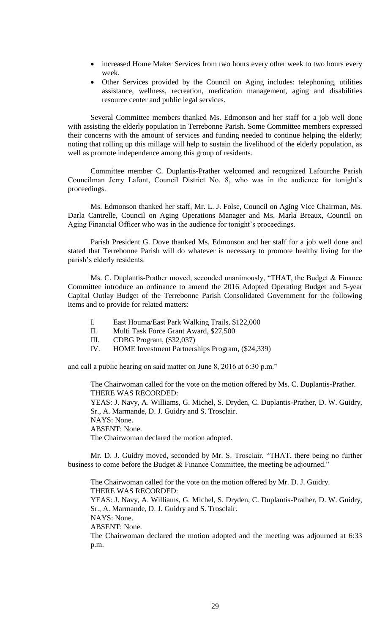- increased Home Maker Services from two hours every other week to two hours every week.
- Other Services provided by the Council on Aging includes: telephoning, utilities assistance, wellness, recreation, medication management, aging and disabilities resource center and public legal services.

Several Committee members thanked Ms. Edmonson and her staff for a job well done with assisting the elderly population in Terrebonne Parish. Some Committee members expressed their concerns with the amount of services and funding needed to continue helping the elderly; noting that rolling up this millage will help to sustain the livelihood of the elderly population, as well as promote independence among this group of residents.

Committee member C. Duplantis-Prather welcomed and recognized Lafourche Parish Councilman Jerry Lafont, Council District No. 8, who was in the audience for tonight's proceedings.

Ms. Edmonson thanked her staff, Mr. L. J. Folse, Council on Aging Vice Chairman, Ms. Darla Cantrelle, Council on Aging Operations Manager and Ms. Marla Breaux, Council on Aging Financial Officer who was in the audience for tonight's proceedings.

Parish President G. Dove thanked Ms. Edmonson and her staff for a job well done and stated that Terrebonne Parish will do whatever is necessary to promote healthy living for the parish's elderly residents.

Ms. C. Duplantis-Prather moved, seconded unanimously, "THAT, the Budget & Finance Committee introduce an ordinance to amend the 2016 Adopted Operating Budget and 5-year Capital Outlay Budget of the Terrebonne Parish Consolidated Government for the following items and to provide for related matters:

- I. East Houma/East Park Walking Trails, \$122,000
- II. Multi Task Force Grant Award, \$27,500
- III. CDBG Program, (\$32,037)
- IV. HOME Investment Partnerships Program, (\$24,339)

and call a public hearing on said matter on June 8, 2016 at 6:30 p.m."

The Chairwoman called for the vote on the motion offered by Ms. C. Duplantis-Prather. THERE WAS RECORDED: YEAS: J. Navy, A. Williams, G. Michel, S. Dryden, C. Duplantis-Prather, D. W. Guidry, Sr., A. Marmande, D. J. Guidry and S. Trosclair. NAYS: None. ABSENT: None. The Chairwoman declared the motion adopted.

Mr. D. J. Guidry moved, seconded by Mr. S. Trosclair, "THAT, there being no further business to come before the Budget & Finance Committee, the meeting be adjourned."

The Chairwoman called for the vote on the motion offered by Mr. D. J. Guidry. THERE WAS RECORDED: YEAS: J. Navy, A. Williams, G. Michel, S. Dryden, C. Duplantis-Prather, D. W. Guidry, Sr., A. Marmande, D. J. Guidry and S. Trosclair. NAYS: None. ABSENT: None. The Chairwoman declared the motion adopted and the meeting was adjourned at 6:33 p.m.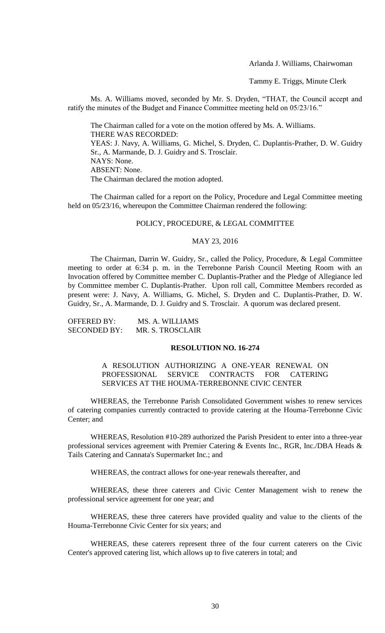Arlanda J. Williams, Chairwoman

Tammy E. Triggs, Minute Clerk

Ms. A. Williams moved, seconded by Mr. S. Dryden, "THAT, the Council accept and ratify the minutes of the Budget and Finance Committee meeting held on 05/23/16."

The Chairman called for a vote on the motion offered by Ms. A. Williams. THERE WAS RECORDED: YEAS: J. Navy, A. Williams, G. Michel, S. Dryden, C. Duplantis-Prather, D. W. Guidry Sr., A. Marmande, D. J. Guidry and S. Trosclair. NAYS: None. ABSENT: None. The Chairman declared the motion adopted.

The Chairman called for a report on the Policy, Procedure and Legal Committee meeting held on 05/23/16, whereupon the Committee Chairman rendered the following:

### POLICY, PROCEDURE, & LEGAL COMMITTEE

## MAY 23, 2016

The Chairman, Darrin W. Guidry, Sr., called the Policy, Procedure, & Legal Committee meeting to order at 6:34 p. m. in the Terrebonne Parish Council Meeting Room with an Invocation offered by Committee member C. Duplantis-Prather and the Pledge of Allegiance led by Committee member C. Duplantis-Prather. Upon roll call, Committee Members recorded as present were: J. Navy, A. Williams, G. Michel, S. Dryden and C. Duplantis-Prather, D. W. Guidry, Sr., A. Marmande, D. J. Guidry and S. Trosclair. A quorum was declared present.

| OFFERED BY:  | MS. A. WILLIAMS  |
|--------------|------------------|
| SECONDED BY: | MR. S. TROSCLAIR |

#### **RESOLUTION NO. 16-274**

A RESOLUTION AUTHORIZING A ONE-YEAR RENEWAL ON PROFESSIONAL SERVICE CONTRACTS FOR CATERING SERVICES AT THE HOUMA-TERREBONNE CIVIC CENTER

WHEREAS, the Terrebonne Parish Consolidated Government wishes to renew services of catering companies currently contracted to provide catering at the Houma-Terrebonne Civic Center; and

WHEREAS, Resolution #10-289 authorized the Parish President to enter into a three-year professional services agreement with Premier Catering & Events Inc., RGR, Inc./DBA Heads & Tails Catering and Cannata's Supermarket Inc.; and

WHEREAS, the contract allows for one-year renewals thereafter, and

WHEREAS, these three caterers and Civic Center Management wish to renew the professional service agreement for one year; and

WHEREAS, these three caterers have provided quality and value to the clients of the Houma-Terrebonne Civic Center for six years; and

WHEREAS, these caterers represent three of the four current caterers on the Civic Center's approved catering list, which allows up to five caterers in total; and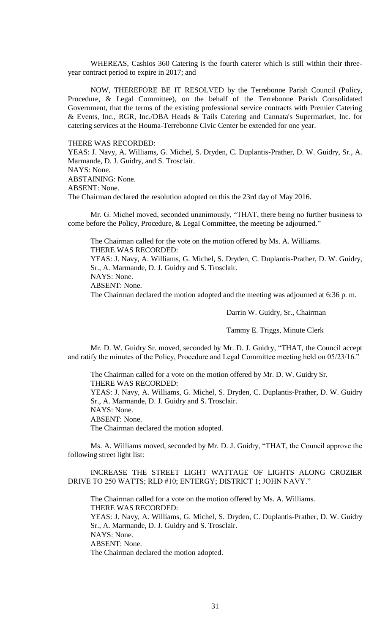WHEREAS, Cashios 360 Catering is the fourth caterer which is still within their threeyear contract period to expire in 2017; and

NOW, THEREFORE BE IT RESOLVED by the Terrebonne Parish Council (Policy, Procedure, & Legal Committee), on the behalf of the Terrebonne Parish Consolidated Government, that the terms of the existing professional service contracts with Premier Catering & Events, Inc., RGR, Inc./DBA Heads & Tails Catering and Cannata's Supermarket, Inc. for catering services at the Houma-Terrebonne Civic Center be extended for one year.

THERE WAS RECORDED:

YEAS: J. Navy, A. Williams, G. Michel, S. Dryden, C. Duplantis-Prather, D. W. Guidry, Sr., A. Marmande, D. J. Guidry, and S. Trosclair. NAYS: None.

ABSTAINING: None.

ABSENT: None.

The Chairman declared the resolution adopted on this the 23rd day of May 2016.

Mr. G. Michel moved, seconded unanimously, "THAT, there being no further business to come before the Policy, Procedure, & Legal Committee, the meeting be adjourned."

The Chairman called for the vote on the motion offered by Ms. A. Williams. THERE WAS RECORDED:

YEAS: J. Navy, A. Williams, G. Michel, S. Dryden, C. Duplantis-Prather, D. W. Guidry, Sr., A. Marmande, D. J. Guidry and S. Trosclair.

NAYS: None.

ABSENT: None.

The Chairman declared the motion adopted and the meeting was adjourned at 6:36 p. m.

Darrin W. Guidry, Sr., Chairman

Tammy E. Triggs, Minute Clerk

Mr. D. W. Guidry Sr. moved, seconded by Mr. D. J. Guidry, "THAT, the Council accept and ratify the minutes of the Policy, Procedure and Legal Committee meeting held on 05/23/16."

The Chairman called for a vote on the motion offered by Mr. D. W. Guidry Sr. THERE WAS RECORDED: YEAS: J. Navy, A. Williams, G. Michel, S. Dryden, C. Duplantis-Prather, D. W. Guidry Sr., A. Marmande, D. J. Guidry and S. Trosclair. NAYS: None. ABSENT: None. The Chairman declared the motion adopted.

Ms. A. Williams moved, seconded by Mr. D. J. Guidry, "THAT, the Council approve the following street light list:

INCREASE THE STREET LIGHT WATTAGE OF LIGHTS ALONG CROZIER DRIVE TO 250 WATTS; RLD #10; ENTERGY; DISTRICT 1; JOHN NAVY."

The Chairman called for a vote on the motion offered by Ms. A. Williams. THERE WAS RECORDED: YEAS: J. Navy, A. Williams, G. Michel, S. Dryden, C. Duplantis-Prather, D. W. Guidry Sr., A. Marmande, D. J. Guidry and S. Trosclair. NAYS: None. ABSENT: None. The Chairman declared the motion adopted.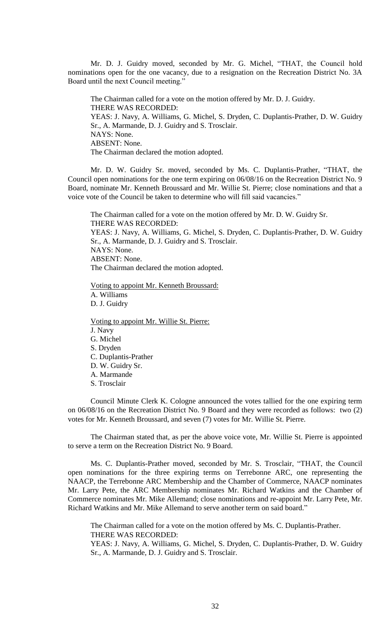Mr. D. J. Guidry moved, seconded by Mr. G. Michel, "THAT, the Council hold nominations open for the one vacancy, due to a resignation on the Recreation District No. 3A Board until the next Council meeting."

The Chairman called for a vote on the motion offered by Mr. D. J. Guidry. THERE WAS RECORDED: YEAS: J. Navy, A. Williams, G. Michel, S. Dryden, C. Duplantis-Prather, D. W. Guidry Sr., A. Marmande, D. J. Guidry and S. Trosclair. NAYS: None. ABSENT: None. The Chairman declared the motion adopted.

Mr. D. W. Guidry Sr. moved, seconded by Ms. C. Duplantis-Prather, "THAT, the Council open nominations for the one term expiring on 06/08/16 on the Recreation District No. 9 Board, nominate Mr. Kenneth Broussard and Mr. Willie St. Pierre; close nominations and that a voice vote of the Council be taken to determine who will fill said vacancies."

The Chairman called for a vote on the motion offered by Mr. D. W. Guidry Sr. THERE WAS RECORDED: YEAS: J. Navy, A. Williams, G. Michel, S. Dryden, C. Duplantis-Prather, D. W. Guidry

Sr., A. Marmande, D. J. Guidry and S. Trosclair. NAYS: None. ABSENT: None. The Chairman declared the motion adopted.

Voting to appoint Mr. Kenneth Broussard: A. Williams D. J. Guidry

Voting to appoint Mr. Willie St. Pierre: J. Navy G. Michel S. Dryden C. Duplantis-Prather D. W. Guidry Sr. A. Marmande S. Trosclair

Council Minute Clerk K. Cologne announced the votes tallied for the one expiring term on 06/08/16 on the Recreation District No. 9 Board and they were recorded as follows: two (2) votes for Mr. Kenneth Broussard, and seven (7) votes for Mr. Willie St. Pierre.

The Chairman stated that, as per the above voice vote, Mr. Willie St. Pierre is appointed to serve a term on the Recreation District No. 9 Board.

Ms. C. Duplantis-Prather moved, seconded by Mr. S. Trosclair, "THAT, the Council open nominations for the three expiring terms on Terrebonne ARC, one representing the NAACP, the Terrebonne ARC Membership and the Chamber of Commerce, NAACP nominates Mr. Larry Pete, the ARC Membership nominates Mr. Richard Watkins and the Chamber of Commerce nominates Mr. Mike Allemand; close nominations and re-appoint Mr. Larry Pete, Mr. Richard Watkins and Mr. Mike Allemand to serve another term on said board."

The Chairman called for a vote on the motion offered by Ms. C. Duplantis-Prather. THERE WAS RECORDED: YEAS: J. Navy, A. Williams, G. Michel, S. Dryden, C. Duplantis-Prather, D. W. Guidry

Sr., A. Marmande, D. J. Guidry and S. Trosclair.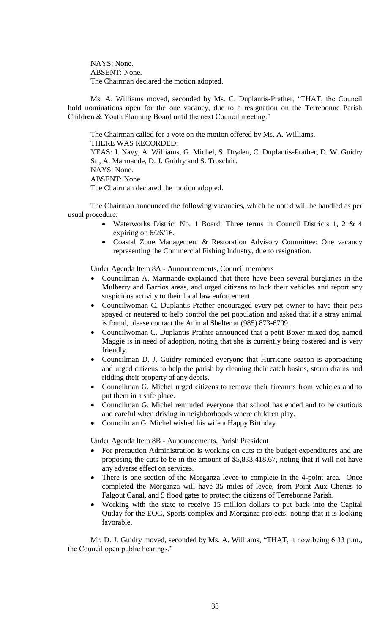NAYS: None. ABSENT: None. The Chairman declared the motion adopted.

Ms. A. Williams moved, seconded by Ms. C. Duplantis-Prather, "THAT, the Council hold nominations open for the one vacancy, due to a resignation on the Terrebonne Parish Children & Youth Planning Board until the next Council meeting."

The Chairman called for a vote on the motion offered by Ms. A. Williams. THERE WAS RECORDED: YEAS: J. Navy, A. Williams, G. Michel, S. Dryden, C. Duplantis-Prather, D. W. Guidry Sr., A. Marmande, D. J. Guidry and S. Trosclair. NAYS: None. ABSENT: None. The Chairman declared the motion adopted.

The Chairman announced the following vacancies, which he noted will be handled as per usual procedure:

- Waterworks District No. 1 Board: Three terms in Council Districts 1, 2 & 4 expiring on 6/26/16.
- Coastal Zone Management & Restoration Advisory Committee: One vacancy representing the Commercial Fishing Industry, due to resignation.

Under Agenda Item 8A - Announcements, Council members

- Councilman A. Marmande explained that there have been several burglaries in the Mulberry and Barrios areas, and urged citizens to lock their vehicles and report any suspicious activity to their local law enforcement.
- Councilwoman C. Duplantis-Prather encouraged every pet owner to have their pets spayed or neutered to help control the pet population and asked that if a stray animal is found, please contact the Animal Shelter at (985) 873-6709.
- Councilwoman C. Duplantis-Prather announced that a petit Boxer-mixed dog named Maggie is in need of adoption, noting that she is currently being fostered and is very friendly.
- Councilman D. J. Guidry reminded everyone that Hurricane season is approaching and urged citizens to help the parish by cleaning their catch basins, storm drains and ridding their property of any debris.
- Councilman G. Michel urged citizens to remove their firearms from vehicles and to put them in a safe place.
- Councilman G. Michel reminded everyone that school has ended and to be cautious and careful when driving in neighborhoods where children play.
- Councilman G. Michel wished his wife a Happy Birthday.

Under Agenda Item 8B - Announcements, Parish President

- For precaution Administration is working on cuts to the budget expenditures and are proposing the cuts to be in the amount of \$5,833,418.67, noting that it will not have any adverse effect on services.
- There is one section of the Morganza levee to complete in the 4-point area. Once completed the Morganza will have 35 miles of levee, from Point Aux Chenes to Falgout Canal, and 5 flood gates to protect the citizens of Terrebonne Parish.
- Working with the state to receive 15 million dollars to put back into the Capital Outlay for the EOC, Sports complex and Morganza projects; noting that it is looking favorable.

Mr. D. J. Guidry moved, seconded by Ms. A. Williams, "THAT, it now being 6:33 p.m., the Council open public hearings."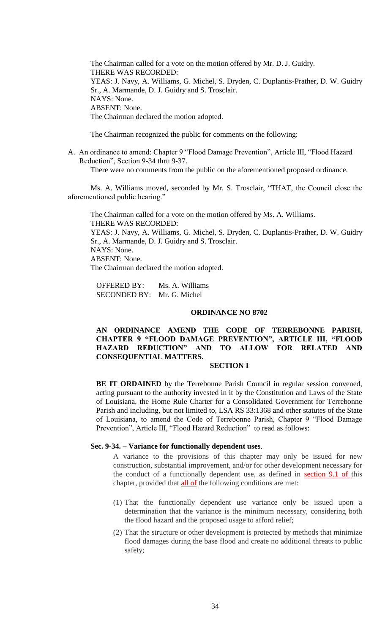The Chairman called for a vote on the motion offered by Mr. D. J. Guidry. THERE WAS RECORDED: YEAS: J. Navy, A. Williams, G. Michel, S. Dryden, C. Duplantis-Prather, D. W. Guidry Sr., A. Marmande, D. J. Guidry and S. Trosclair. NAYS: None. ABSENT: None. The Chairman declared the motion adopted.

The Chairman recognized the public for comments on the following:

A. An ordinance to amend: Chapter 9 "Flood Damage Prevention", Article III, "Flood Hazard Reduction", Section 9-34 thru 9-37.

There were no comments from the public on the aforementioned proposed ordinance.

Ms. A. Williams moved, seconded by Mr. S. Trosclair, "THAT, the Council close the aforementioned public hearing."

The Chairman called for a vote on the motion offered by Ms. A. Williams. THERE WAS RECORDED: YEAS: J. Navy, A. Williams, G. Michel, S. Dryden, C. Duplantis-Prather, D. W. Guidry Sr., A. Marmande, D. J. Guidry and S. Trosclair. NAYS: None. ABSENT: None.

The Chairman declared the motion adopted.

OFFERED BY: Ms. A. Williams SECONDED BY: Mr. G. Michel

## **ORDINANCE NO 8702**

# **AN ORDINANCE AMEND THE CODE OF TERREBONNE PARISH, CHAPTER 9 "FLOOD DAMAGE PREVENTION", ARTICLE III, "FLOOD HAZARD REDUCTION" AND TO ALLOW FOR RELATED AND CONSEQUENTIAL MATTERS.**

## **SECTION I**

**BE IT ORDAINED** by the Terrebonne Parish Council in regular session convened, acting pursuant to the authority invested in it by the Constitution and Laws of the State of Louisiana, the Home Rule Charter for a Consolidated Government for Terrebonne Parish and including, but not limited to, LSA RS 33:1368 and other statutes of the State of Louisiana, to amend the Code of Terrebonne Parish, Chapter 9 "Flood Damage Prevention", Article III, "Flood Hazard Reduction" to read as follows:

### **Sec. 9-34. – Variance for functionally dependent uses**.

A variance to the provisions of this chapter may only be issued for new construction, substantial improvement, and/or for other development necessary for the conduct of a functionally dependent use, as defined in section 9.1 of this chapter, provided that all of the following conditions are met:

- (1) That the functionally dependent use variance only be issued upon a determination that the variance is the minimum necessary, considering both the flood hazard and the proposed usage to afford relief;
- (2) That the structure or other development is protected by methods that minimize flood damages during the base flood and create no additional threats to public safety;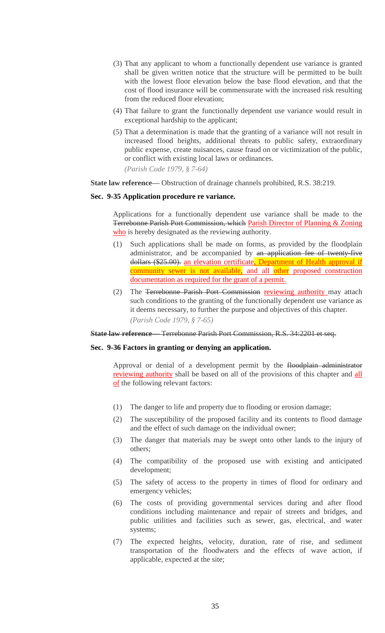- (3) That any applicant to whom a functionally dependent use variance is granted shall be given written notice that the structure will be permitted to be built with the lowest floor elevation below the base flood elevation, and that the cost of flood insurance will be commensurate with the increased risk resulting from the reduced floor elevation;
- (4) That failure to grant the functionally dependent use variance would result in exceptional hardship to the applicant;
- (5) That a determination is made that the granting of a variance will not result in increased flood heights, additional threats to public safety, extraordinary public expense, create nuisances, cause fraud on or victimization of the public, or conflict with existing local laws or ordinances.

*(Parish Code 1979, § 7-64)*

**State law reference—** Obstruction of drainage channels prohibited, R.S. 38:219.

## **Sec. 9-35 Application procedure re variance.**

Applications for a functionally dependent use variance shall be made to the Terrebonne Parish Port Commission, which Parish Director of Planning & Zoning who is hereby designated as the reviewing authority.

- (1) Such applications shall be made on forms, as provided by the floodplain administrator, and be accompanied by an application fee of twenty-five dollars (\$25.00). an elevation certificate, Department of Health approval if community sewer is not available, and all other proposed construction documentation as required for the grant of a permit.
- (2) The Terrebonne Parish Port Commission reviewing authority may attach such conditions to the granting of the functionally dependent use variance as it deems necessary, to further the purpose and objectives of this chapter. *(Parish Code 1979, § 7-65)*

**State law reference—** Terrebonne Parish Port Commission, R.S. 34:2201 et seq.

## **Sec. 9-36 Factors in granting or denying an application.**

Approval or denial of a development permit by the floodplain administrator reviewing authority shall be based on all of the provisions of this chapter and all of the following relevant factors:

- (1) The danger to life and property due to flooding or erosion damage;
- (2) The susceptibility of the proposed facility and its contents to flood damage and the effect of such damage on the individual owner;
- (3) The danger that materials may be swept onto other lands to the injury of others;
- (4) The compatibility of the proposed use with existing and anticipated development;
- (5) The safety of access to the property in times of flood for ordinary and emergency vehicles;
- (6) The costs of providing governmental services during and after flood conditions including maintenance and repair of streets and bridges, and public utilities and facilities such as sewer, gas, electrical, and water systems;
- (7) The expected heights, velocity, duration, rate of rise, and sediment transportation of the floodwaters and the effects of wave action, if applicable, expected at the site;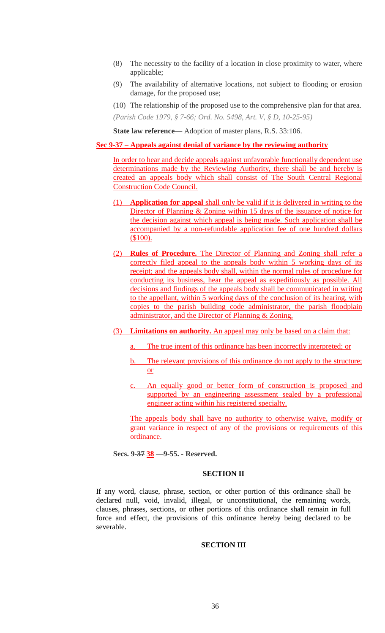- (8) The necessity to the facility of a location in close proximity to water, where applicable;
- (9) The availability of alternative locations, not subject to flooding or erosion damage, for the proposed use;

(10) The relationship of the proposed use to the comprehensive plan for that area.

*(Parish Code 1979, § 7-66; Ord. No. 5498, Art. V, § D, 10-25-95)*

**State law reference—** Adoption of master plans, R.S. 33:106.

## **Sec 9-37 – Appeals against denial of variance by the reviewing authority**

In order to hear and decide appeals against unfavorable functionally dependent use determinations made by the Reviewing Authority, there shall be and hereby is created an appeals body which shall consist of The South Central Regional Construction Code Council.

- (1) **Application for appeal** shall only be valid if it is delivered in writing to the Director of Planning & Zoning within 15 days of the issuance of notice for the decision against which appeal is being made. Such application shall be accompanied by a non-refundable application fee of one hundred dollars (\$100).
- (2) **Rules of Procedure.** The Director of Planning and Zoning shall refer a correctly filed appeal to the appeals body within 5 working days of its receipt; and the appeals body shall, within the normal rules of procedure for conducting its business, hear the appeal as expeditiously as possible. All decisions and findings of the appeals body shall be communicated in writing to the appellant, within 5 working days of the conclusion of its hearing, with copies to the parish building code administrator, the parish floodplain administrator, and the Director of Planning & Zoning,
- (3) **Limitations on authority.** An appeal may only be based on a claim that:
	- a. The true intent of this ordinance has been incorrectly interpreted; or
	- b. The relevant provisions of this ordinance do not apply to the structure; or
	- An equally good or better form of construction is proposed and supported by an engineering assessment sealed by a professional engineer acting within his registered specialty.

The appeals body shall have no authority to otherwise waive, modify or grant variance in respect of any of the provisions or requirements of this ordinance.

**Secs. 9-37 38 —9-55. - Reserved.** 

# **SECTION II**

If any word, clause, phrase, section, or other portion of this ordinance shall be declared null, void, invalid, illegal, or unconstitutional, the remaining words, clauses, phrases, sections, or other portions of this ordinance shall remain in full force and effect, the provisions of this ordinance hereby being declared to be severable.

## **SECTION III**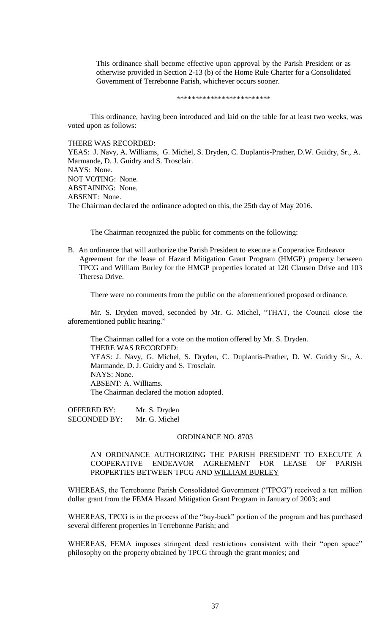This ordinance shall become effective upon approval by the Parish President or as otherwise provided in Section 2-13 (b) of the Home Rule Charter for a Consolidated Government of Terrebonne Parish, whichever occurs sooner.

\*\*\*\*\*\*\*\*\*\*\*\*\*\*\*\*\*\*\*\*\*\*\*\*\*

This ordinance, having been introduced and laid on the table for at least two weeks, was voted upon as follows:

## THERE WAS RECORDED:

YEAS: J. Navy, A. Williams, G. Michel, S. Dryden, C. Duplantis-Prather, D.W. Guidry, Sr., A. Marmande, D. J. Guidry and S. Trosclair. NAYS: None. NOT VOTING: None. ABSTAINING: None. ABSENT: None. The Chairman declared the ordinance adopted on this, the 25th day of May 2016.

The Chairman recognized the public for comments on the following:

B. An ordinance that will authorize the Parish President to execute a Cooperative Endeavor Agreement for the lease of Hazard Mitigation Grant Program (HMGP) property between TPCG and William Burley for the HMGP properties located at 120 Clausen Drive and 103 Theresa Drive.

There were no comments from the public on the aforementioned proposed ordinance.

Mr. S. Dryden moved, seconded by Mr. G. Michel, "THAT, the Council close the aforementioned public hearing."

The Chairman called for a vote on the motion offered by Mr. S. Dryden. THERE WAS RECORDED: YEAS: J. Navy, G. Michel, S. Dryden, C. Duplantis-Prather, D. W. Guidry Sr., A. Marmande, D. J. Guidry and S. Trosclair. NAYS: None. ABSENT: A. Williams. The Chairman declared the motion adopted.

OFFERED BY: Mr. S. Dryden SECONDED BY: Mr. G. Michel

#### ORDINANCE NO. 8703

# AN ORDINANCE AUTHORIZING THE PARISH PRESIDENT TO EXECUTE A COOPERATIVE ENDEAVOR AGREEMENT FOR LEASE OF PARISH PROPERTIES BETWEEN TPCG AND WILLIAM BURLEY

WHEREAS, the Terrebonne Parish Consolidated Government ("TPCG") received a ten million dollar grant from the FEMA Hazard Mitigation Grant Program in January of 2003; and

WHEREAS, TPCG is in the process of the "buy-back" portion of the program and has purchased several different properties in Terrebonne Parish; and

WHEREAS, FEMA imposes stringent deed restrictions consistent with their "open space" philosophy on the property obtained by TPCG through the grant monies; and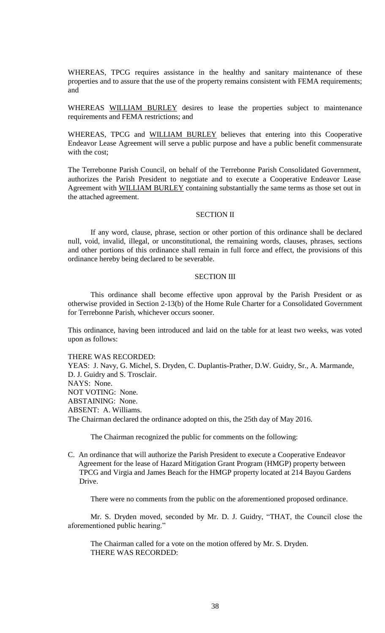WHEREAS, TPCG requires assistance in the healthy and sanitary maintenance of these properties and to assure that the use of the property remains consistent with FEMA requirements; and

WHEREAS WILLIAM BURLEY desires to lease the properties subject to maintenance requirements and FEMA restrictions; and

WHEREAS, TPCG and WILLIAM BURLEY believes that entering into this Cooperative Endeavor Lease Agreement will serve a public purpose and have a public benefit commensurate with the cost;

The Terrebonne Parish Council, on behalf of the Terrebonne Parish Consolidated Government, authorizes the Parish President to negotiate and to execute a Cooperative Endeavor Lease Agreement with WILLIAM BURLEY containing substantially the same terms as those set out in the attached agreement.

#### SECTION II

If any word, clause, phrase, section or other portion of this ordinance shall be declared null, void, invalid, illegal, or unconstitutional, the remaining words, clauses, phrases, sections and other portions of this ordinance shall remain in full force and effect, the provisions of this ordinance hereby being declared to be severable.

## SECTION III

This ordinance shall become effective upon approval by the Parish President or as otherwise provided in Section 2-13(b) of the Home Rule Charter for a Consolidated Government for Terrebonne Parish, whichever occurs sooner.

This ordinance, having been introduced and laid on the table for at least two weeks, was voted upon as follows:

THERE WAS RECORDED:

YEAS: J. Navy, G. Michel, S. Dryden, C. Duplantis-Prather, D.W. Guidry, Sr., A. Marmande, D. J. Guidry and S. Trosclair. NAYS: None. NOT VOTING: None. ABSTAINING: None. ABSENT: A. Williams. The Chairman declared the ordinance adopted on this, the 25th day of May 2016.

The Chairman recognized the public for comments on the following:

C. An ordinance that will authorize the Parish President to execute a Cooperative Endeavor Agreement for the lease of Hazard Mitigation Grant Program (HMGP) property between TPCG and Virgia and James Beach for the HMGP property located at 214 Bayou Gardens Drive.

There were no comments from the public on the aforementioned proposed ordinance.

Mr. S. Dryden moved, seconded by Mr. D. J. Guidry, "THAT, the Council close the aforementioned public hearing."

The Chairman called for a vote on the motion offered by Mr. S. Dryden. THERE WAS RECORDED: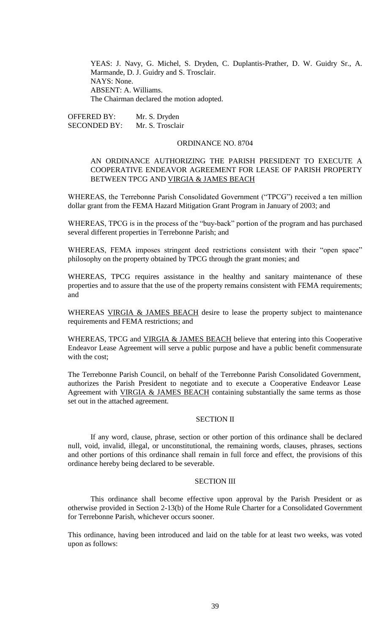YEAS: J. Navy, G. Michel, S. Dryden, C. Duplantis-Prather, D. W. Guidry Sr., A. Marmande, D. J. Guidry and S. Trosclair. NAYS: None. ABSENT: A. Williams. The Chairman declared the motion adopted.

OFFERED BY: Mr. S. Dryden SECONDED BY: Mr. S. Trosclair

#### ORDINANCE NO. 8704

# AN ORDINANCE AUTHORIZING THE PARISH PRESIDENT TO EXECUTE A COOPERATIVE ENDEAVOR AGREEMENT FOR LEASE OF PARISH PROPERTY BETWEEN TPCG AND VIRGIA & JAMES BEACH

WHEREAS, the Terrebonne Parish Consolidated Government ("TPCG") received a ten million dollar grant from the FEMA Hazard Mitigation Grant Program in January of 2003; and

WHEREAS, TPCG is in the process of the "buy-back" portion of the program and has purchased several different properties in Terrebonne Parish; and

WHEREAS, FEMA imposes stringent deed restrictions consistent with their "open space" philosophy on the property obtained by TPCG through the grant monies; and

WHEREAS, TPCG requires assistance in the healthy and sanitary maintenance of these properties and to assure that the use of the property remains consistent with FEMA requirements; and

WHEREAS VIRGIA & JAMES BEACH desire to lease the property subject to maintenance requirements and FEMA restrictions; and

WHEREAS, TPCG and VIRGIA & JAMES BEACH believe that entering into this Cooperative Endeavor Lease Agreement will serve a public purpose and have a public benefit commensurate with the cost;

The Terrebonne Parish Council, on behalf of the Terrebonne Parish Consolidated Government, authorizes the Parish President to negotiate and to execute a Cooperative Endeavor Lease Agreement with VIRGIA & JAMES BEACH containing substantially the same terms as those set out in the attached agreement.

# SECTION II

If any word, clause, phrase, section or other portion of this ordinance shall be declared null, void, invalid, illegal, or unconstitutional, the remaining words, clauses, phrases, sections and other portions of this ordinance shall remain in full force and effect, the provisions of this ordinance hereby being declared to be severable.

## SECTION III

This ordinance shall become effective upon approval by the Parish President or as otherwise provided in Section 2-13(b) of the Home Rule Charter for a Consolidated Government for Terrebonne Parish, whichever occurs sooner.

This ordinance, having been introduced and laid on the table for at least two weeks, was voted upon as follows: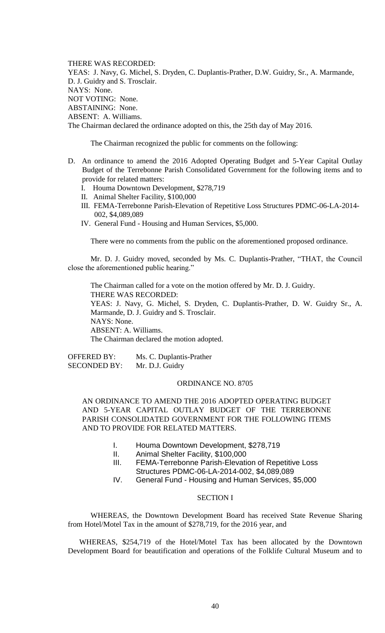THERE WAS RECORDED:

YEAS: J. Navy, G. Michel, S. Dryden, C. Duplantis-Prather, D.W. Guidry, Sr., A. Marmande, D. J. Guidry and S. Trosclair. NAYS: None. NOT VOTING: None. ABSTAINING: None. ABSENT: A. Williams. The Chairman declared the ordinance adopted on this, the 25th day of May 2016.

The Chairman recognized the public for comments on the following:

- D. An ordinance to amend the 2016 Adopted Operating Budget and 5-Year Capital Outlay Budget of the Terrebonne Parish Consolidated Government for the following items and to provide for related matters:
	- I. Houma Downtown Development, \$278,719
	- II. Animal Shelter Facility, \$100,000
	- III. FEMA-Terrebonne Parish-Elevation of Repetitive Loss Structures PDMC-06-LA-2014- 002, \$4,089,089
	- IV. General Fund Housing and Human Services, \$5,000.

There were no comments from the public on the aforementioned proposed ordinance.

Mr. D. J. Guidry moved, seconded by Ms. C. Duplantis-Prather, "THAT, the Council close the aforementioned public hearing."

The Chairman called for a vote on the motion offered by Mr. D. J. Guidry. THERE WAS RECORDED: YEAS: J. Navy, G. Michel, S. Dryden, C. Duplantis-Prather, D. W. Guidry Sr., A. Marmande, D. J. Guidry and S. Trosclair. NAYS: None. ABSENT: A. Williams. The Chairman declared the motion adopted.

OFFERED BY: Ms. C. Duplantis-Prather SECONDED BY: Mr. D.J. Guidry

## ORDINANCE NO. 8705

AN ORDINANCE TO AMEND THE 2016 ADOPTED OPERATING BUDGET AND 5-YEAR CAPITAL OUTLAY BUDGET OF THE TERREBONNE PARISH CONSOLIDATED GOVERNMENT FOR THE FOLLOWING ITEMS AND TO PROVIDE FOR RELATED MATTERS.

- I. Houma Downtown Development, \$278,719
- II. Animal Shelter Facility, \$100,000
- III. FEMA-Terrebonne Parish-Elevation of Repetitive Loss Structures PDMC-06-LA-2014-002, \$4,089,089
- IV. General Fund Housing and Human Services, \$5,000

## SECTION I

 WHEREAS, the Downtown Development Board has received State Revenue Sharing from Hotel/Motel Tax in the amount of \$278,719, for the 2016 year, and

WHEREAS, \$254,719 of the Hotel/Motel Tax has been allocated by the Downtown Development Board for beautification and operations of the Folklife Cultural Museum and to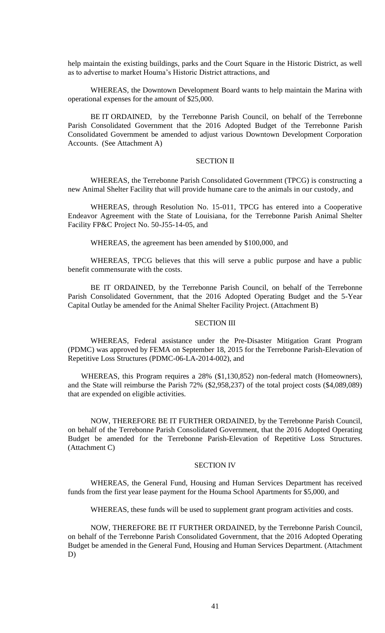help maintain the existing buildings, parks and the Court Square in the Historic District, as well as to advertise to market Houma's Historic District attractions, and

WHEREAS, the Downtown Development Board wants to help maintain the Marina with operational expenses for the amount of \$25,000.

BE IT ORDAINED, by the Terrebonne Parish Council, on behalf of the Terrebonne Parish Consolidated Government that the 2016 Adopted Budget of the Terrebonne Parish Consolidated Government be amended to adjust various Downtown Development Corporation Accounts. (See Attachment A)

## SECTION II

 WHEREAS, the Terrebonne Parish Consolidated Government (TPCG) is constructing a new Animal Shelter Facility that will provide humane care to the animals in our custody, and

WHEREAS, through Resolution No. 15-011, TPCG has entered into a Cooperative Endeavor Agreement with the State of Louisiana, for the Terrebonne Parish Animal Shelter Facility FP&C Project No. 50-J55-14-05, and

WHEREAS, the agreement has been amended by \$100,000, and

WHEREAS, TPCG believes that this will serve a public purpose and have a public benefit commensurate with the costs.

BE IT ORDAINED, by the Terrebonne Parish Council, on behalf of the Terrebonne Parish Consolidated Government, that the 2016 Adopted Operating Budget and the 5-Year Capital Outlay be amended for the Animal Shelter Facility Project. (Attachment B)

## SECTION III

WHEREAS, Federal assistance under the Pre-Disaster Mitigation Grant Program (PDMC) was approved by FEMA on September 18, 2015 for the Terrebonne Parish-Elevation of Repetitive Loss Structures (PDMC-06-LA-2014-002), and

WHEREAS, this Program requires a 28% (\$1,130,852) non-federal match (Homeowners), and the State will reimburse the Parish 72% (\$2,958,237) of the total project costs (\$4,089,089) that are expended on eligible activities.

NOW, THEREFORE BE IT FURTHER ORDAINED, by the Terrebonne Parish Council, on behalf of the Terrebonne Parish Consolidated Government, that the 2016 Adopted Operating Budget be amended for the Terrebonne Parish-Elevation of Repetitive Loss Structures. (Attachment C)

#### SECTION IV

WHEREAS, the General Fund, Housing and Human Services Department has received funds from the first year lease payment for the Houma School Apartments for \$5,000, and

WHEREAS, these funds will be used to supplement grant program activities and costs.

NOW, THEREFORE BE IT FURTHER ORDAINED, by the Terrebonne Parish Council, on behalf of the Terrebonne Parish Consolidated Government, that the 2016 Adopted Operating Budget be amended in the General Fund, Housing and Human Services Department. (Attachment D)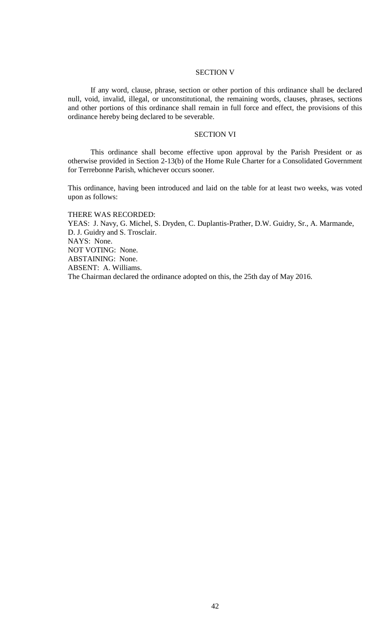# SECTION V

If any word, clause, phrase, section or other portion of this ordinance shall be declared null, void, invalid, illegal, or unconstitutional, the remaining words, clauses, phrases, sections and other portions of this ordinance shall remain in full force and effect, the provisions of this ordinance hereby being declared to be severable.

## SECTION VI

This ordinance shall become effective upon approval by the Parish President or as otherwise provided in Section 2-13(b) of the Home Rule Charter for a Consolidated Government for Terrebonne Parish, whichever occurs sooner.

This ordinance, having been introduced and laid on the table for at least two weeks, was voted upon as follows:

THERE WAS RECORDED: YEAS: J. Navy, G. Michel, S. Dryden, C. Duplantis-Prather, D.W. Guidry, Sr., A. Marmande, D. J. Guidry and S. Trosclair. NAYS: None. NOT VOTING: None. ABSTAINING: None. ABSENT: A. Williams. The Chairman declared the ordinance adopted on this, the 25th day of May 2016.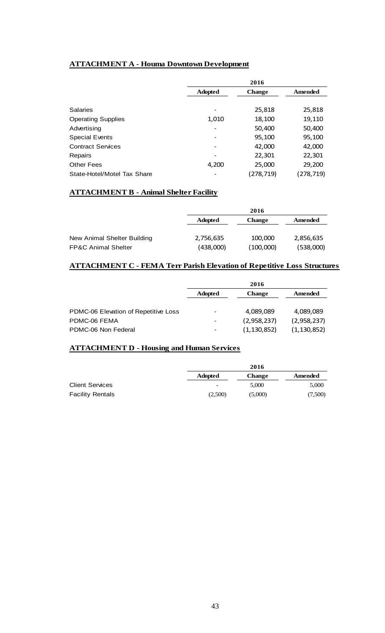# **ATTACHMENT A - Houma Downtown Development**

|                             | 2016           |               |            |
|-----------------------------|----------------|---------------|------------|
|                             | <b>Adopted</b> | <b>Change</b> | Amended    |
|                             |                |               |            |
| <b>Salaries</b>             |                | 25,818        | 25,818     |
| <b>Operating Supplies</b>   | 1,010          | 18,100        | 19,110     |
| Advertising                 | -              | 50,400        | 50,400     |
| <b>Special Events</b>       | -              | 95,100        | 95,100     |
| <b>Contract Services</b>    | -              | 42,000        | 42,000     |
| Repairs                     | -              | 22,301        | 22,301     |
| <b>Other Fees</b>           | 4,200          | 25,000        | 29,200     |
| State-Hotel/Motel Tax Share |                | (278, 719)    | (278, 719) |

# **ATTACHMENT B - Animal Shelter Facility**

|                                | 2016           |               |           |
|--------------------------------|----------------|---------------|-----------|
|                                | <b>Adopted</b> | <b>Change</b> | Amended   |
|                                |                |               |           |
| New Animal Shelter Building    | 2,756,635      | 100,000       | 2,856,635 |
| <b>FP&amp;C Animal Shelter</b> | (438,000)      | (100,000)     | (538,000) |

# **ATTACHMENT C - FEMA Terr Parish Elevation of Repetitive Loss Structures**

|                                      | 2016           |               |               |
|--------------------------------------|----------------|---------------|---------------|
|                                      | <b>Adopted</b> | <b>Change</b> | Amended       |
|                                      |                |               |               |
| PDMC-06 Elevation of Repetitive Loss | -              | 4,089,089     | 4,089,089     |
| PDMC-06 FEMA                         | -              | (2,958,237)   | (2,958,237)   |
| PDMC-06 Non Federal                  |                | (1, 130, 852) | (1, 130, 852) |

# **ATTACHMENT D - Housing and Human Services**

|                         |                | 2016          |         |
|-------------------------|----------------|---------------|---------|
|                         | <b>Adopted</b> | <b>Change</b> | Amended |
| <b>Client Services</b>  | -              | 5.000         | 5,000   |
| <b>Facility Rentals</b> | (2,500)        | (5,000)       | (7,500) |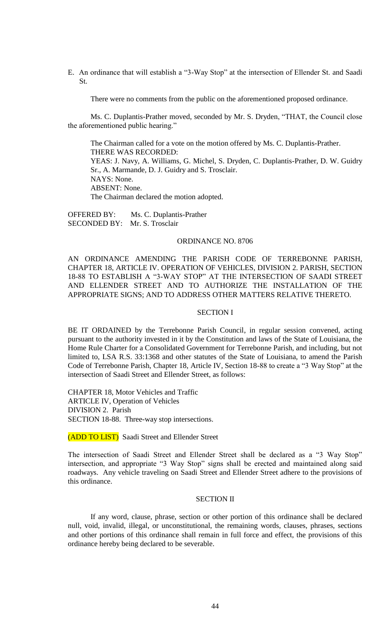E. An ordinance that will establish a "3-Way Stop" at the intersection of Ellender St. and Saadi St.

There were no comments from the public on the aforementioned proposed ordinance.

Ms. C. Duplantis-Prather moved, seconded by Mr. S. Dryden, "THAT, the Council close the aforementioned public hearing."

The Chairman called for a vote on the motion offered by Ms. C. Duplantis-Prather. THERE WAS RECORDED: YEAS: J. Navy, A. Williams, G. Michel, S. Dryden, C. Duplantis-Prather, D. W. Guidry Sr., A. Marmande, D. J. Guidry and S. Trosclair. NAYS: None. ABSENT: None. The Chairman declared the motion adopted.

OFFERED BY: Ms. C. Duplantis-Prather SECONDED BY: Mr. S. Trosclair

## ORDINANCE NO. 8706

AN ORDINANCE AMENDING THE PARISH CODE OF TERREBONNE PARISH, CHAPTER 18, ARTICLE IV. OPERATION OF VEHICLES, DIVISION 2. PARISH, SECTION 18-88 TO ESTABLISH A "3-WAY STOP" AT THE INTERSECTION OF SAADI STREET AND ELLENDER STREET AND TO AUTHORIZE THE INSTALLATION OF THE APPROPRIATE SIGNS; AND TO ADDRESS OTHER MATTERS RELATIVE THERETO.

## SECTION I

BE IT ORDAINED by the Terrebonne Parish Council, in regular session convened, acting pursuant to the authority invested in it by the Constitution and laws of the State of Louisiana, the Home Rule Charter for a Consolidated Government for Terrebonne Parish, and including, but not limited to, LSA R.S. 33:1368 and other statutes of the State of Louisiana, to amend the Parish Code of Terrebonne Parish, Chapter 18, Article IV, Section 18-88 to create a "3 Way Stop" at the intersection of Saadi Street and Ellender Street, as follows:

CHAPTER 18, Motor Vehicles and Traffic ARTICLE IV, Operation of Vehicles DIVISION 2. Parish SECTION 18-88. Three-way stop intersections.

(ADD TO LIST) Saadi Street and Ellender Street

The intersection of Saadi Street and Ellender Street shall be declared as a "3 Way Stop" intersection, and appropriate "3 Way Stop" signs shall be erected and maintained along said roadways. Any vehicle traveling on Saadi Street and Ellender Street adhere to the provisions of this ordinance.

## SECTION II

If any word, clause, phrase, section or other portion of this ordinance shall be declared null, void, invalid, illegal, or unconstitutional, the remaining words, clauses, phrases, sections and other portions of this ordinance shall remain in full force and effect, the provisions of this ordinance hereby being declared to be severable.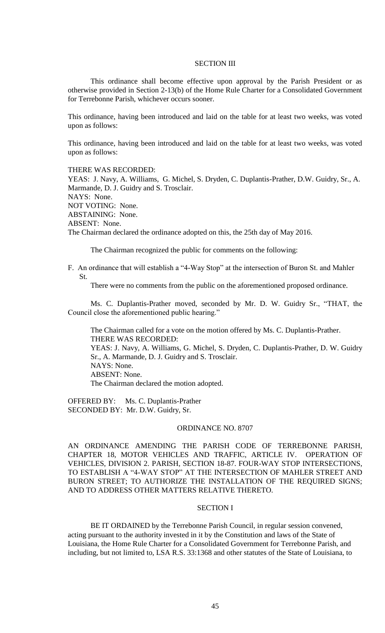#### SECTION III

This ordinance shall become effective upon approval by the Parish President or as otherwise provided in Section 2-13(b) of the Home Rule Charter for a Consolidated Government for Terrebonne Parish, whichever occurs sooner.

This ordinance, having been introduced and laid on the table for at least two weeks, was voted upon as follows:

This ordinance, having been introduced and laid on the table for at least two weeks, was voted upon as follows:

THERE WAS RECORDED:

YEAS: J. Navy, A. Williams, G. Michel, S. Dryden, C. Duplantis-Prather, D.W. Guidry, Sr., A. Marmande, D. J. Guidry and S. Trosclair. NAYS: None. NOT VOTING: None. ABSTAINING: None. ABSENT: None. The Chairman declared the ordinance adopted on this, the 25th day of May 2016.

The Chairman recognized the public for comments on the following:

F. An ordinance that will establish a "4-Way Stop" at the intersection of Buron St. and Mahler St.

There were no comments from the public on the aforementioned proposed ordinance.

Ms. C. Duplantis-Prather moved, seconded by Mr. D. W. Guidry Sr., "THAT, the Council close the aforementioned public hearing."

The Chairman called for a vote on the motion offered by Ms. C. Duplantis-Prather. THERE WAS RECORDED: YEAS: J. Navy, A. Williams, G. Michel, S. Dryden, C. Duplantis-Prather, D. W. Guidry Sr., A. Marmande, D. J. Guidry and S. Trosclair. NAYS: None. ABSENT: None. The Chairman declared the motion adopted.

OFFERED BY: Ms. C. Duplantis-Prather SECONDED BY: Mr. D.W. Guidry, Sr.

#### ORDINANCE NO. 8707

AN ORDINANCE AMENDING THE PARISH CODE OF TERREBONNE PARISH, CHAPTER 18, MOTOR VEHICLES AND TRAFFIC, ARTICLE IV. OPERATION OF VEHICLES, DIVISION 2. PARISH, SECTION 18-87. FOUR-WAY STOP INTERSECTIONS, TO ESTABLISH A "4-WAY STOP" AT THE INTERSECTION OF MAHLER STREET AND BURON STREET; TO AUTHORIZE THE INSTALLATION OF THE REQUIRED SIGNS; AND TO ADDRESS OTHER MATTERS RELATIVE THERETO.

## SECTION I

BE IT ORDAINED by the Terrebonne Parish Council, in regular session convened, acting pursuant to the authority invested in it by the Constitution and laws of the State of Louisiana, the Home Rule Charter for a Consolidated Government for Terrebonne Parish, and including, but not limited to, LSA R.S. 33:1368 and other statutes of the State of Louisiana, to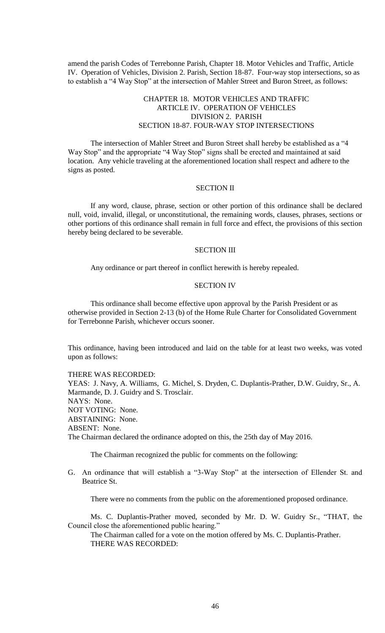amend the parish Codes of Terrebonne Parish, Chapter 18. Motor Vehicles and Traffic, Article IV. Operation of Vehicles, Division 2. Parish, Section 18-87. Four-way stop intersections, so as to establish a "4 Way Stop" at the intersection of Mahler Street and Buron Street, as follows:

# CHAPTER 18. MOTOR VEHICLES AND TRAFFIC ARTICLE IV. OPERATION OF VEHICLES DIVISION 2. PARISH SECTION 18-87. FOUR-WAY STOP INTERSECTIONS

The intersection of Mahler Street and Buron Street shall hereby be established as a "4 Way Stop" and the appropriate "4 Way Stop" signs shall be erected and maintained at said location. Any vehicle traveling at the aforementioned location shall respect and adhere to the signs as posted.

#### SECTION II

If any word, clause, phrase, section or other portion of this ordinance shall be declared null, void, invalid, illegal, or unconstitutional, the remaining words, clauses, phrases, sections or other portions of this ordinance shall remain in full force and effect, the provisions of this section hereby being declared to be severable.

## SECTION III

Any ordinance or part thereof in conflict herewith is hereby repealed.

## SECTION IV

This ordinance shall become effective upon approval by the Parish President or as otherwise provided in Section 2-13 (b) of the Home Rule Charter for Consolidated Government for Terrebonne Parish, whichever occurs sooner.

This ordinance, having been introduced and laid on the table for at least two weeks, was voted upon as follows:

#### THERE WAS RECORDED:

YEAS: J. Navy, A. Williams, G. Michel, S. Dryden, C. Duplantis-Prather, D.W. Guidry, Sr., A. Marmande, D. J. Guidry and S. Trosclair. NAYS: None. NOT VOTING: None. ABSTAINING: None. ABSENT: None. The Chairman declared the ordinance adopted on this, the 25th day of May 2016.

The Chairman recognized the public for comments on the following:

G. An ordinance that will establish a "3-Way Stop" at the intersection of Ellender St. and Beatrice St.

There were no comments from the public on the aforementioned proposed ordinance.

Ms. C. Duplantis-Prather moved, seconded by Mr. D. W. Guidry Sr., "THAT, the Council close the aforementioned public hearing."

The Chairman called for a vote on the motion offered by Ms. C. Duplantis-Prather. THERE WAS RECORDED: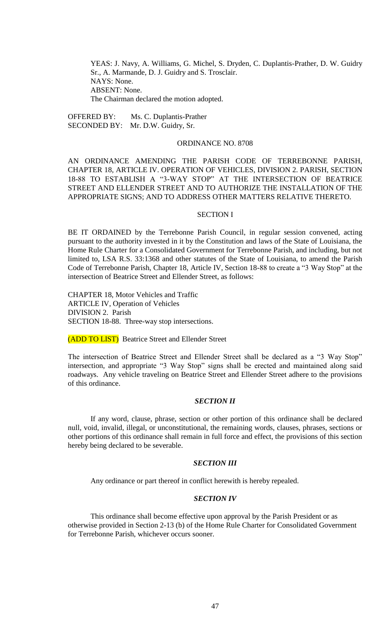YEAS: J. Navy, A. Williams, G. Michel, S. Dryden, C. Duplantis-Prather, D. W. Guidry Sr., A. Marmande, D. J. Guidry and S. Trosclair. NAYS: None. ABSENT: None. The Chairman declared the motion adopted.

OFFERED BY: Ms. C. Duplantis-Prather SECONDED BY: Mr. D.W. Guidry, Sr.

## ORDINANCE NO. 8708

AN ORDINANCE AMENDING THE PARISH CODE OF TERREBONNE PARISH, CHAPTER 18, ARTICLE IV. OPERATION OF VEHICLES, DIVISION 2. PARISH, SECTION 18-88 TO ESTABLISH A "3-WAY STOP" AT THE INTERSECTION OF BEATRICE STREET AND ELLENDER STREET AND TO AUTHORIZE THE INSTALLATION OF THE APPROPRIATE SIGNS; AND TO ADDRESS OTHER MATTERS RELATIVE THERETO.

#### SECTION I

BE IT ORDAINED by the Terrebonne Parish Council, in regular session convened, acting pursuant to the authority invested in it by the Constitution and laws of the State of Louisiana, the Home Rule Charter for a Consolidated Government for Terrebonne Parish, and including, but not limited to, LSA R.S. 33:1368 and other statutes of the State of Louisiana, to amend the Parish Code of Terrebonne Parish, Chapter 18, Article IV, Section 18-88 to create a "3 Way Stop" at the intersection of Beatrice Street and Ellender Street, as follows:

CHAPTER 18, Motor Vehicles and Traffic ARTICLE IV, Operation of Vehicles DIVISION 2. Parish SECTION 18-88. Three-way stop intersections.

(ADD TO LIST) Beatrice Street and Ellender Street

The intersection of Beatrice Street and Ellender Street shall be declared as a "3 Way Stop" intersection, and appropriate "3 Way Stop" signs shall be erected and maintained along said roadways. Any vehicle traveling on Beatrice Street and Ellender Street adhere to the provisions of this ordinance.

# *SECTION II*

If any word, clause, phrase, section or other portion of this ordinance shall be declared null, void, invalid, illegal, or unconstitutional, the remaining words, clauses, phrases, sections or other portions of this ordinance shall remain in full force and effect, the provisions of this section hereby being declared to be severable.

## *SECTION III*

Any ordinance or part thereof in conflict herewith is hereby repealed.

## *SECTION IV*

This ordinance shall become effective upon approval by the Parish President or as otherwise provided in Section 2-13 (b) of the Home Rule Charter for Consolidated Government for Terrebonne Parish, whichever occurs sooner.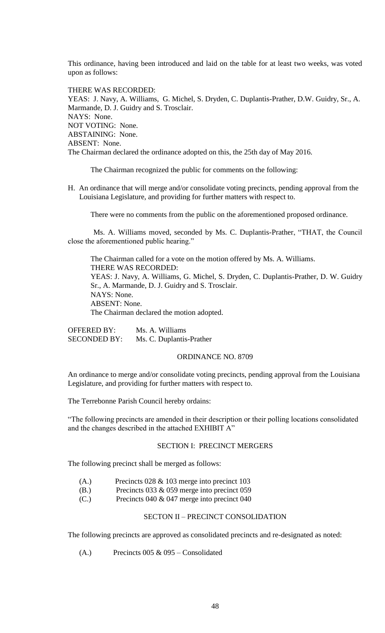This ordinance, having been introduced and laid on the table for at least two weeks, was voted upon as follows:

THERE WAS RECORDED: YEAS: J. Navy, A. Williams, G. Michel, S. Dryden, C. Duplantis-Prather, D.W. Guidry, Sr., A. Marmande, D. J. Guidry and S. Trosclair. NAYS: None. NOT VOTING: None. ABSTAINING: None. ABSENT: None. The Chairman declared the ordinance adopted on this, the 25th day of May 2016.

The Chairman recognized the public for comments on the following:

H. An ordinance that will merge and/or consolidate voting precincts, pending approval from the Louisiana Legislature, and providing for further matters with respect to.

There were no comments from the public on the aforementioned proposed ordinance.

Ms. A. Williams moved, seconded by Ms. C. Duplantis-Prather, "THAT, the Council close the aforementioned public hearing."

The Chairman called for a vote on the motion offered by Ms. A. Williams. THERE WAS RECORDED: YEAS: J. Navy, A. Williams, G. Michel, S. Dryden, C. Duplantis-Prather, D. W. Guidry Sr., A. Marmande, D. J. Guidry and S. Trosclair. NAYS: None. ABSENT: None. The Chairman declared the motion adopted.

OFFERED BY: Ms. A. Williams SECONDED BY: Ms. C. Duplantis-Prather

## ORDINANCE NO. 8709

An ordinance to merge and/or consolidate voting precincts, pending approval from the Louisiana Legislature, and providing for further matters with respect to.

The Terrebonne Parish Council hereby ordains:

"The following precincts are amended in their description or their polling locations consolidated and the changes described in the attached EXHIBIT A"

## SECTION I: PRECINCT MERGERS

The following precinct shall be merged as follows:

- (A.) Precincts 028 & 103 merge into precinct 103
- (B.) Precincts 033 & 059 merge into precinct 059
- (C.) Precincts 040 & 047 merge into precinct 040

## SECTON II – PRECINCT CONSOLIDATION

The following precincts are approved as consolidated precincts and re-designated as noted:

(A.) Precincts 005 & 095 – Consolidated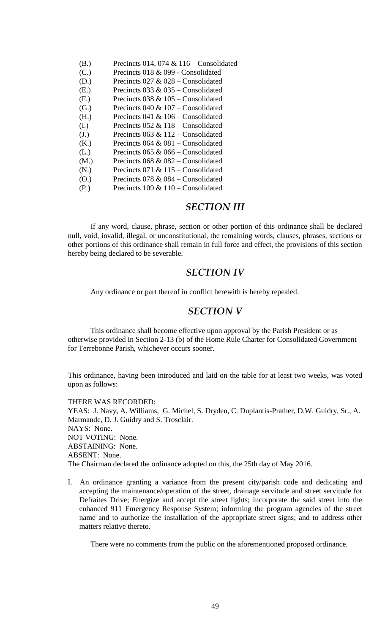| (B.) | Precincts 014, 074 & 116 - Consolidated |
|------|-----------------------------------------|
| (C.) | Precincts 018 & 099 - Consolidated      |
| (D.) | Precincts $027 & 028$ – Consolidated    |
| (E.) | Precincts 033 & 035 – Consolidated      |
| (F.) | Precincts 038 & $105$ – Consolidated    |
| (G.) | Precincts 040 & $107 -$ Consolidated    |
| (H.) | Precincts 041 & $106 -$ Consolidated    |
| (I.) | Precincts $052 \& 118$ – Consolidated   |
| (J.) | Precincts 063 & $112$ – Consolidated    |
| (K.) | Precincts $064 \& 081$ – Consolidated   |
| (L.) | Precincts 065 & 066 – Consolidated      |
| (M.) | Precincts $068 \& 082$ – Consolidated   |
| (N.) | Precincts 071 & $115$ – Consolidated    |
| (0.) | Precincts 078 & 084 – Consolidated      |
| (P.) | Precincts $109 \& 110$ – Consolidated   |

# *SECTION III*

If any word, clause, phrase, section or other portion of this ordinance shall be declared null, void, invalid, illegal, or unconstitutional, the remaining words, clauses, phrases, sections or other portions of this ordinance shall remain in full force and effect, the provisions of this section hereby being declared to be severable.

# *SECTION IV*

Any ordinance or part thereof in conflict herewith is hereby repealed.

# *SECTION V*

This ordinance shall become effective upon approval by the Parish President or as otherwise provided in Section 2-13 (b) of the Home Rule Charter for Consolidated Government for Terrebonne Parish, whichever occurs sooner.

This ordinance, having been introduced and laid on the table for at least two weeks, was voted upon as follows:

THERE WAS RECORDED: YEAS: J. Navy, A. Williams, G. Michel, S. Dryden, C. Duplantis-Prather, D.W. Guidry, Sr., A. Marmande, D. J. Guidry and S. Trosclair. NAYS: None. NOT VOTING: None. ABSTAINING: None. ABSENT: None. The Chairman declared the ordinance adopted on this, the 25th day of May 2016.

I. An ordinance granting a variance from the present city/parish code and dedicating and accepting the maintenance/operation of the street, drainage servitude and street servitude for Defraites Drive; Energize and accept the street lights; incorporate the said street into the enhanced 911 Emergency Response System; informing the program agencies of the street name and to authorize the installation of the appropriate street signs; and to address other matters relative thereto.

There were no comments from the public on the aforementioned proposed ordinance.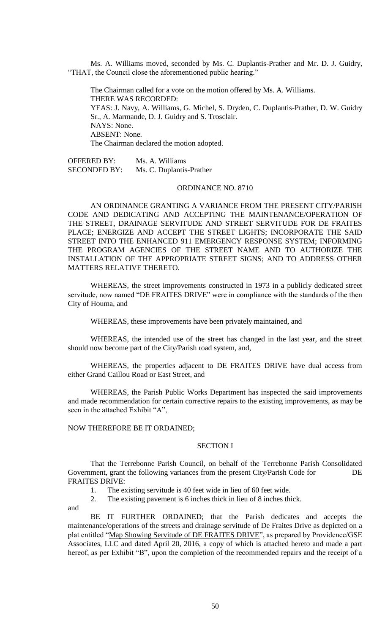Ms. A. Williams moved, seconded by Ms. C. Duplantis-Prather and Mr. D. J. Guidry, "THAT, the Council close the aforementioned public hearing."

The Chairman called for a vote on the motion offered by Ms. A. Williams. THERE WAS RECORDED: YEAS: J. Navy, A. Williams, G. Michel, S. Dryden, C. Duplantis-Prather, D. W. Guidry Sr., A. Marmande, D. J. Guidry and S. Trosclair. NAYS: None. ABSENT: None. The Chairman declared the motion adopted.

OFFERED BY: Ms. A. Williams SECONDED BY: Ms. C. Duplantis-Prather

#### ORDINANCE NO. 8710

AN ORDINANCE GRANTING A VARIANCE FROM THE PRESENT CITY/PARISH CODE AND DEDICATING AND ACCEPTING THE MAINTENANCE/OPERATION OF THE STREET, DRAINAGE SERVITUDE AND STREET SERVITUDE FOR DE FRAITES PLACE; ENERGIZE AND ACCEPT THE STREET LIGHTS; INCORPORATE THE SAID STREET INTO THE ENHANCED 911 EMERGENCY RESPONSE SYSTEM; INFORMING THE PROGRAM AGENCIES OF THE STREET NAME AND TO AUTHORIZE THE INSTALLATION OF THE APPROPRIATE STREET SIGNS; AND TO ADDRESS OTHER MATTERS RELATIVE THERETO.

WHEREAS, the street improvements constructed in 1973 in a publicly dedicated street servitude, now named "DE FRAITES DRIVE" were in compliance with the standards of the then City of Houma, and

WHEREAS, these improvements have been privately maintained, and

WHEREAS, the intended use of the street has changed in the last year, and the street should now become part of the City/Parish road system, and,

WHEREAS, the properties adjacent to DE FRAITES DRIVE have dual access from either Grand Caillou Road or East Street, and

WHEREAS, the Parish Public Works Department has inspected the said improvements and made recommendation for certain corrective repairs to the existing improvements, as may be seen in the attached Exhibit "A",

## NOW THEREFORE BE IT ORDAINED;

## SECTION I

That the Terrebonne Parish Council, on behalf of the Terrebonne Parish Consolidated Government, grant the following variances from the present City/Parish Code for DE FRAITES DRIVE:

1. The existing servitude is 40 feet wide in lieu of 60 feet wide.

2. The existing pavement is 6 inches thick in lieu of 8 inches thick.

and

BE IT FURTHER ORDAINED; that the Parish dedicates and accepts the maintenance/operations of the streets and drainage servitude of De Fraites Drive as depicted on a plat entitled "Map Showing Servitude of DE FRAITES DRIVE", as prepared by Providence/GSE Associates, LLC and dated April 20, 2016, a copy of which is attached hereto and made a part hereof, as per Exhibit "B", upon the completion of the recommended repairs and the receipt of a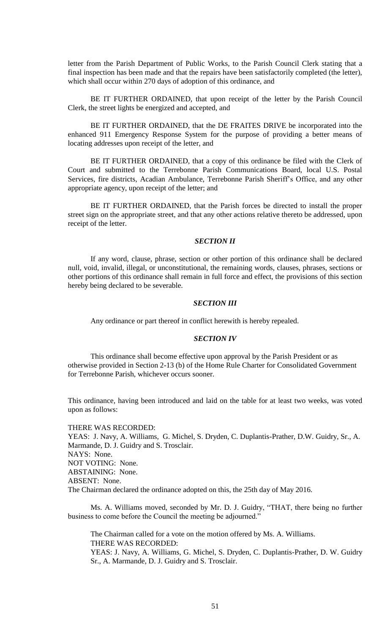letter from the Parish Department of Public Works, to the Parish Council Clerk stating that a final inspection has been made and that the repairs have been satisfactorily completed (the letter), which shall occur within 270 days of adoption of this ordinance, and

BE IT FURTHER ORDAINED, that upon receipt of the letter by the Parish Council Clerk, the street lights be energized and accepted, and

BE IT FURTHER ORDAINED, that the DE FRAITES DRIVE be incorporated into the enhanced 911 Emergency Response System for the purpose of providing a better means of locating addresses upon receipt of the letter, and

BE IT FURTHER ORDAINED, that a copy of this ordinance be filed with the Clerk of Court and submitted to the Terrebonne Parish Communications Board, local U.S. Postal Services, fire districts, Acadian Ambulance, Terrebonne Parish Sheriff's Office, and any other appropriate agency, upon receipt of the letter; and

BE IT FURTHER ORDAINED, that the Parish forces be directed to install the proper street sign on the appropriate street, and that any other actions relative thereto be addressed, upon receipt of the letter.

## *SECTION II*

If any word, clause, phrase, section or other portion of this ordinance shall be declared null, void, invalid, illegal, or unconstitutional, the remaining words, clauses, phrases, sections or other portions of this ordinance shall remain in full force and effect, the provisions of this section hereby being declared to be severable.

## *SECTION III*

Any ordinance or part thereof in conflict herewith is hereby repealed.

## *SECTION IV*

This ordinance shall become effective upon approval by the Parish President or as otherwise provided in Section 2-13 (b) of the Home Rule Charter for Consolidated Government for Terrebonne Parish, whichever occurs sooner.

This ordinance, having been introduced and laid on the table for at least two weeks, was voted upon as follows:

THERE WAS RECORDED:

YEAS: J. Navy, A. Williams, G. Michel, S. Dryden, C. Duplantis-Prather, D.W. Guidry, Sr., A. Marmande, D. J. Guidry and S. Trosclair. NAYS: None. NOT VOTING: None. ABSTAINING: None. ABSENT: None. The Chairman declared the ordinance adopted on this, the 25th day of May 2016.

Ms. A. Williams moved, seconded by Mr. D. J. Guidry, "THAT, there being no further business to come before the Council the meeting be adjourned."

The Chairman called for a vote on the motion offered by Ms. A. Williams. THERE WAS RECORDED: YEAS: J. Navy, A. Williams, G. Michel, S. Dryden, C. Duplantis-Prather, D. W. Guidry Sr., A. Marmande, D. J. Guidry and S. Trosclair.